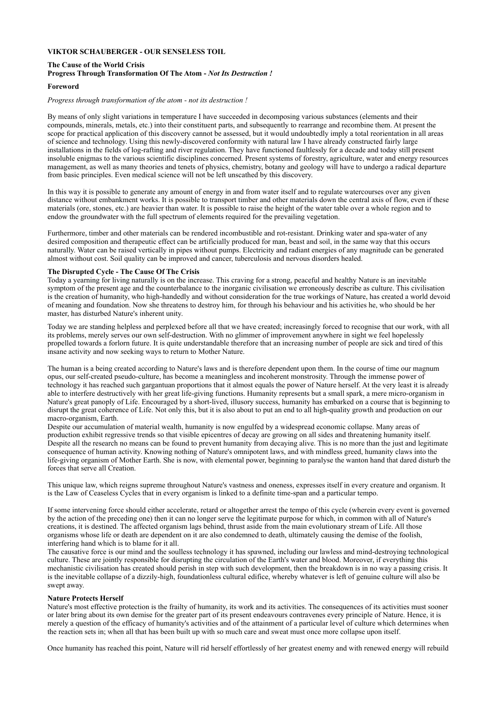# **VIKTOR SCHAUBERGER - OUR SENSELESS TOIL**

# **The Cause of the World Crisis Progress Through Transformation Of The Atom -** *Not Its Destruction !*

# **Foreword**

# *Progress through transformation of the atom - not its destruction !*

By means of only slight variations in temperature I have succeeded in decomposing various substances (elements and their compounds, minerals, metals, etc.) into their constituent parts, and subsequently to rearrange and recombine them. At present the scope for practical application of this discovery cannot be assessed, but it would undoubtedly imply a total reorientation in all areas of science and technology. Using this newly-discovered conformity with natural law I have already constructed fairly large installations in the fields of log-rafting and river regulation. They have functioned faultlessly for a decade and today still present insoluble enigmas to the various scientific disciplines concerned. Present systems of forestry, agriculture, water and energy resources management, as well as many theories and tenets of physics, chemistry, botany and geology will have to undergo a radical departure from basic principles. Even medical science will not be left unscathed by this discovery.

In this way it is possible to generate any amount of energy in and from water itself and to regulate watercourses over any given distance without embankment works. It is possible to transport timber and other materials down the central axis of flow, even if these materials (ore, stones, etc.) are heavier than water. It is possible to raise the height of the water table over a whole region and to endow the groundwater with the full spectrum of elements required for the prevailing vegetation.

Furthermore, timber and other materials can be rendered incombustible and rot-resistant. Drinking water and spa-water of any desired composition and therapeutic effect can be artificially produced for man, beast and soil, in the same way that this occurs naturally. Water can be raised vertically in pipes without pumps. Electricity and radiant energies of any magnitude can be generated almost without cost. Soil quality can be improved and cancer, tuberculosis and nervous disorders healed.

# **The Disrupted Cycle - The Cause Of The Crisis**

Today a yearning for living naturally is on the increase. This craving for a strong, peaceful and healthy Nature is an inevitable symptom of the present age and the counterbalance to the inorganic civilisation we erroneously describe as culture. This civilisation is the creation of humanity, who high-handedly and without consideration for the true workings of Nature, has created a world devoid of meaning and foundation. Now she threatens to destroy him, for through his behaviour and his activities he, who should be her master, has disturbed Nature's inherent unity.

Today we are standing helpless and perplexed before all that we have created; increasingly forced to recognise that our work, with all its problems, merely serves our own self-destruction. With no glimmer of improvement anywhere in sight we feel hopelessly propelled towards a forlorn future. It is quite understandable therefore that an increasing number of people are sick and tired of this insane activity and now seeking ways to return to Mother Nature.

The human is a being created according to Nature's laws and is therefore dependent upon them. In the course of time our magnum opus, our self-created pseudo-culture, has become a meaningless and incoherent monstrosity. Through the immense power of technology it has reached such gargantuan proportions that it almost equals the power of Nature herself. At the very least it is already able to interfere destructively with her great life-giving functions. Humanity represents but a small spark, a mere micro-organism in Nature's great panoply of Life. Encouraged by a short-lived, illusory success, humanity has embarked on a course that is beginning to disrupt the great coherence of Life. Not only this, but it is also about to put an end to all high-quality growth and production on our macro-organism, Earth.

Despite our accumulation of material wealth, humanity is now engulfed by a widespread economic collapse. Many areas of production exhibit regressive trends so that visible epicentres of decay are growing on all sides and threatening humanity itself. Despite all the research no means can be found to prevent humanity from decaying alive. This is no more than the just and legitimate consequence of human activity. Knowing nothing of Nature's omnipotent laws, and with mindless greed, humanity claws into the life-giving organism of Mother Earth. She is now, with elemental power, beginning to paralyse the wanton hand that dared disturb the forces that serve all Creation.

This unique law, which reigns supreme throughout Nature's vastness and oneness, expresses itself in every creature and organism. It is the Law of Ceaseless Cycles that in every organism is linked to a definite time-span and a particular tempo.

If some intervening force should either accelerate, retard or altogether arrest the tempo of this cycle (wherein every event is governed by the action of the preceding one) then it can no longer serve the legitimate purpose for which, in common with all of Nature's creations, it is destined. The affected organism lags behind, thrust aside from the main evolutionary stream of Life. All those organisms whose life or death are dependent on it are also condemned to death, ultimately causing the demise of the foolish, interfering hand which is to blame for it all.

The causative force is our mind and the soulless technology it has spawned, including our lawless and mind-destroying technological culture. These are jointly responsible for disrupting the circulation of the Earth's water and blood. Moreover, if everything this mechanistic civilisation has created should perish in step with such development, then the breakdown is in no way a passing crisis. It is the inevitable collapse of a dizzily-high, foundationless cultural edifice, whereby whatever is left of genuine culture will also be swept away.

### **Nature Protects Herself**

Nature's most effective protection is the frailty of humanity, its work and its activities. The consequences of its activities must sooner or later bring about its own demise for the greater part of its present endeavours contravenes every principle of Nature. Hence, it is merely a question of the efficacy of humanity's activities and of the attainment of a particular level of culture which determines when the reaction sets in; when all that has been built up with so much care and sweat must once more collapse upon itself.

Once humanity has reached this point, Nature will rid herself effortlessly of her greatest enemy and with renewed energy will rebuild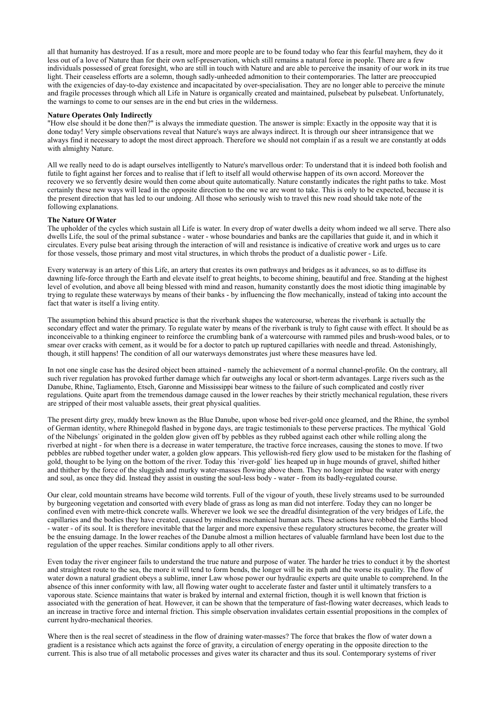all that humanity has destroyed. If as a result, more and more people are to be found today who fear this fearful mayhem, they do it less out of a love of Nature than for their own self-preservation, which still remains a natural force in people. There are a few individuals possessed of great foresight, who are still in touch with Nature and are able to perceive the insanity of our work in its true light. Their ceaseless efforts are a solemn, though sadly-unheeded admonition to their contemporaries. The latter are preoccupied with the exigencies of day-to-day existence and incapacitated by over-specialisation. They are no longer able to perceive the minute and fragile processes through which all Life in Nature is organically created and maintained, pulsebeat by pulsebeat. Unfortunately, the warnings to come to our senses are in the end but cries in the wilderness.

### **Nature Operates Only Indirectly**

"How else should it be done then?" is always the immediate question. The answer is simple: Exactly in the opposite way that it is done today! Very simple observations reveal that Nature's ways are always indirect. It is through our sheer intransigence that we always find it necessary to adopt the most direct approach. Therefore we should not complain if as a result we are constantly at odds with almighty Nature.

All we really need to do is adapt ourselves intelligently to Nature's marvellous order: To understand that it is indeed both foolish and futile to fight against her forces and to realise that if left to itself all would otherwise happen of its own accord. Moreover the recovery we so fervently desire would then come about quite automatically. Nature constantly indicates the right paths to take. Most certainly these new ways will lead in the opposite direction to the one we are wont to take. This is only to be expected, because it is the present direction that has led to our undoing. All those who seriously wish to travel this new road should take note of the following explanations.

### **The Nature Of Water**

The upholder of the cycles which sustain all Life is water. In every drop of water dwells a deity whom indeed we all serve. There also dwells Life, the soul of the primal substance - water - whose boundaries and banks are the capillaries that guide it, and in which it circulates. Every pulse beat arising through the interaction of will and resistance is indicative of creative work and urges us to care for those vessels, those primary and most vital structures, in which throbs the product of a dualistic power - Life.

Every waterway is an artery of this Life, an artery that creates its own pathways and bridges as it advances, so as to diffuse its dawning life-force through the Earth and elevate itself to great heights, to become shining, beautiful and free. Standing at the highest level of evolution, and above all being blessed with mind and reason, humanity constantly does the most idiotic thing imaginable by trying to regulate these waterways by means of their banks - by influencing the flow mechanically, instead of taking into account the fact that water is itself a living entity.

The assumption behind this absurd practice is that the riverbank shapes the watercourse, whereas the riverbank is actually the secondary effect and water the primary. To regulate water by means of the riverbank is truly to fight cause with effect. It should be as inconceivable to a thinking engineer to reinforce the crumbling bank of a watercourse with rammed piles and brush-wood bales, or to smear over cracks with cement, as it would be for a doctor to patch up ruptured capillaries with needle and thread. Astonishingly, though, it still happens! The condition of all our waterways demonstrates just where these measures have led.

In not one single case has the desired object been attained - namely the achievement of a normal channel-profile. On the contrary, all such river regulation has provoked further damage which far outweighs any local or short-term advantages. Large rivers such as the Danube, Rhine, Tagliamento, Etsch, Garonne and Mississippi bear witness to the failure of such complicated and costly river regulations. Quite apart from the tremendous damage caused in the lower reaches by their strictly mechanical regulation, these rivers are stripped of their most valuable assets, their great physical qualities.

The present dirty grey, muddy brew known as the Blue Danube, upon whose bed river-gold once gleamed, and the Rhine, the symbol of German identity, where Rhinegold flashed in bygone days, are tragic testimonials to these perverse practices. The mythical `Gold of the Nibelungs` originated in the golden glow given off by pebbles as they rubbed against each other while rolling along the riverbed at night - for when there is a decrease in water temperature, the tractive force increases, causing the stones to move. If two pebbles are rubbed together under water, a golden glow appears. This yellowish-red fiery glow used to be mistaken for the flashing of gold, thought to be lying on the bottom of the river. Today this `river-gold` lies heaped up in huge mounds of gravel, shifted hither and thither by the force of the sluggish and murky water-masses flowing above them. They no longer imbue the water with energy and soul, as once they did. Instead they assist in ousting the soul-less body - water - from its badly-regulated course.

Our clear, cold mountain streams have become wild torrents. Full of the vigour of youth, these lively streams used to be surrounded by burgeoning vegetation and consorted with every blade of grass as long as man did not interfere. Today they can no longer be confined even with metre-thick concrete walls. Wherever we look we see the dreadful disintegration of the very bridges of Life, the capillaries and the bodies they have created, caused by mindless mechanical human acts. These actions have robbed the Earths blood - water - of its soul. It is therefore inevitable that the larger and more expensive these regulatory structures become, the greater will be the ensuing damage. In the lower reaches of the Danube almost a million hectares of valuable farmland have been lost due to the regulation of the upper reaches. Similar conditions apply to all other rivers.

Even today the river engineer fails to understand the true nature and purpose of water. The harder he tries to conduct it by the shortest and straightest route to the sea, the more it will tend to form bends, the longer will be its path and the worse its quality. The flow of water down a natural gradient obeys a sublime, inner Law whose power our hydraulic experts are quite unable to comprehend. In the absence of this inner conformity with law, all flowing water ought to accelerate faster and faster until it ultimately transfers to a vaporous state. Science maintains that water is braked by internal and external friction, though it is well known that friction is associated with the generation of heat. However, it can be shown that the temperature of fast-flowing water decreases, which leads to an increase in tractive force and internal friction. This simple observation invalidates certain essential propositions in the complex of current hydro-mechanical theories.

Where then is the real secret of steadiness in the flow of draining water-masses? The force that brakes the flow of water down a gradient is a resistance which acts against the force of gravity, a circulation of energy operating in the opposite direction to the current. This is also true of all metabolic processes and gives water its character and thus its soul. Contemporary systems of river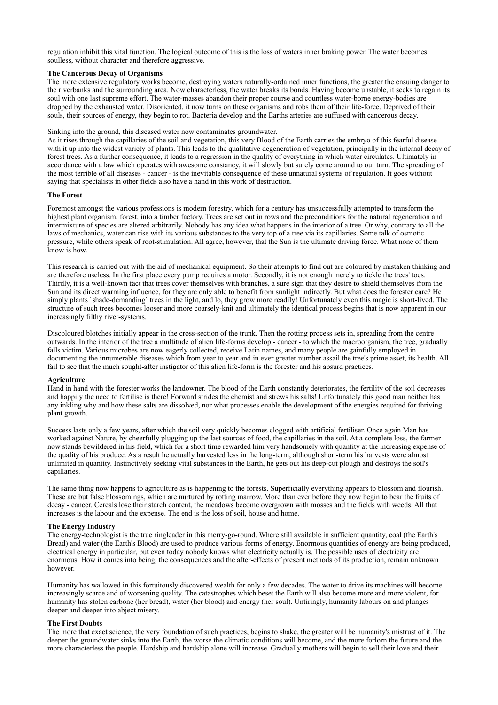regulation inhibit this vital function. The logical outcome of this is the loss of waters inner braking power. The water becomes soulless, without character and therefore aggressive.

# **The Cancerous Decay of Organisms**

The more extensive regulatory works become, destroying waters naturally-ordained inner functions, the greater the ensuing danger to the riverbanks and the surrounding area. Now characterless, the water breaks its bonds. Having become unstable, it seeks to regain its soul with one last supreme effort. The water-masses abandon their proper course and countless water-borne energy-bodies are dropped by the exhausted water. Disoriented, it now turns on these organisms and robs them of their life-force. Deprived of their souls, their sources of energy, they begin to rot. Bacteria develop and the Earths arteries are suffused with cancerous decay.

### Sinking into the ground, this diseased water now contaminates groundwater.

As it rises through the capillaries of the soil and vegetation, this very Blood of the Earth carries the embryo of this fearful disease with it up into the widest variety of plants. This leads to the qualitative degeneration of vegetation, principally in the internal decay of forest trees. As a further consequence, it leads to a regression in the quality of everything in which water circulates. Ultimately in accordance with a law which operates with awesome constancy, it will slowly but surely come around to our turn. The spreading of the most terrible of all diseases - cancer - is the inevitable consequence of these unnatural systems of regulation. It goes without saying that specialists in other fields also have a hand in this work of destruction.

### **The Forest**

Foremost amongst the various professions is modern forestry, which for a century has unsuccessfully attempted to transform the highest plant organism, forest, into a timber factory. Trees are set out in rows and the preconditions for the natural regeneration and intermixture of species are altered arbitrarily. Nobody has any idea what happens in the interior of a tree. Or why, contrary to all the laws of mechanics, water can rise with its various substances to the very top of a tree via its capillaries. Some talk of osmotic pressure, while others speak of root-stimulation. All agree, however, that the Sun is the ultimate driving force. What none of them know is how.

This research is carried out with the aid of mechanical equipment. So their attempts to find out are coloured by mistaken thinking and are therefore useless. In the first place every pump requires a motor. Secondly, it is not enough merely to tickle the trees' toes. Thirdly, it is a well-known fact that trees cover themselves with branches, a sure sign that they desire to shield themselves from the Sun and its direct warming influence, for they are only able to benefit from sunlight indirectly. But what does the forester care? He simply plants `shade-demanding` trees in the light, and lo, they grow more readily! Unfortunately even this magic is short-lived. The structure of such trees becomes looser and more coarsely-knit and ultimately the identical process begins that is now apparent in our increasingly filthy river-systems.

Discoloured blotches initially appear in the cross-section of the trunk. Then the rotting process sets in, spreading from the centre outwards. In the interior of the tree a multitude of alien life-forms develop - cancer - to which the macroorganism, the tree, gradually falls victim. Various microbes are now eagerly collected, receive Latin names, and many people are gainfully employed in documenting the innumerable diseases which from year to year and in ever greater number assail the tree's prime asset, its health. All fail to see that the much sought-after instigator of this alien life-form is the forester and his absurd practices.

#### **Agriculture**

Hand in hand with the forester works the landowner. The blood of the Earth constantly deteriorates, the fertility of the soil decreases and happily the need to fertilise is there! Forward strides the chemist and strews his salts! Unfortunately this good man neither has any inkling why and how these salts are dissolved, nor what processes enable the development of the energies required for thriving plant growth.

Success lasts only a few years, after which the soil very quickly becomes clogged with artificial fertiliser. Once again Man has worked against Nature, by cheerfully plugging up the last sources of food, the capillaries in the soil. At a complete loss, the farmer now stands bewildered in his field, which for a short time rewarded him very handsomely with quantity at the increasing expense of the quality of his produce. As a result he actually harvested less in the long-term, although short-term his harvests were almost unlimited in quantity. Instinctively seeking vital substances in the Earth, he gets out his deep-cut plough and destroys the soil's capillaries.

The same thing now happens to agriculture as is happening to the forests. Superficially everything appears to blossom and flourish. These are but false blossomings, which are nurtured by rotting marrow. More than ever before they now begin to bear the fruits of decay - cancer. Cereals lose their starch content, the meadows become overgrown with mosses and the fields with weeds. All that increases is the labour and the expense. The end is the loss of soil, house and home.

# **The Energy Industry**

The energy-technologist is the true ringleader in this merry-go-round. Where still available in sufficient quantity, coal (the Earth's Bread) and water (the Earth's Blood) are used to produce various forms of energy. Enormous quantities of energy are being produced, electrical energy in particular, but even today nobody knows what electricity actually is. The possible uses of electricity are enormous. How it comes into being, the consequences and the after-effects of present methods of its production, remain unknown however.

Humanity has wallowed in this fortuitously discovered wealth for only a few decades. The water to drive its machines will become increasingly scarce and of worsening quality. The catastrophes which beset the Earth will also become more and more violent, for humanity has stolen carbone (her bread), water (her blood) and energy (her soul). Untiringly, humanity labours on and plunges deeper and deeper into abject misery.

# **The First Doubts**

The more that exact science, the very foundation of such practices, begins to shake, the greater will be humanity's mistrust of it. The deeper the groundwater sinks into the Earth, the worse the climatic conditions will become, and the more forlorn the future and the more characterless the people. Hardship and hardship alone will increase. Gradually mothers will begin to sell their love and their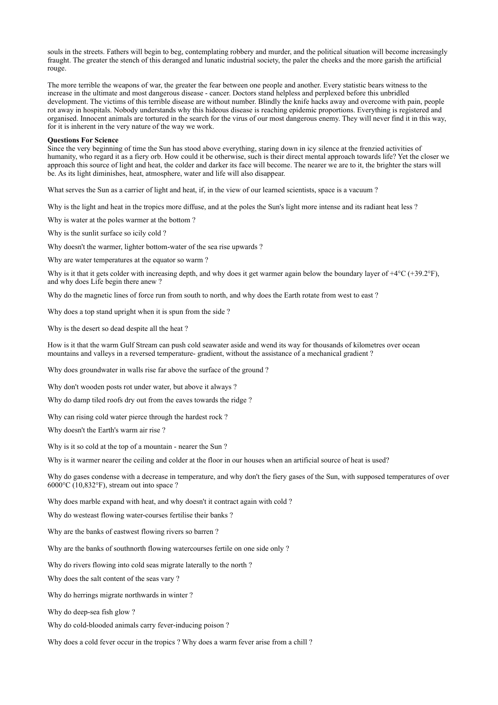souls in the streets. Fathers will begin to beg, contemplating robbery and murder, and the political situation will become increasingly fraught. The greater the stench of this deranged and lunatic industrial society, the paler the cheeks and the more garish the artificial rouge.

The more terrible the weapons of war, the greater the fear between one people and another. Every statistic bears witness to the increase in the ultimate and most dangerous disease - cancer. Doctors stand helpless and perplexed before this unbridled development. The victims of this terrible disease are without number. Blindly the knife hacks away and overcome with pain, people rot away in hospitals. Nobody understands why this hideous disease is reaching epidemic proportions. Everything is registered and organised. Innocent animals are tortured in the search for the virus of our most dangerous enemy. They will never find it in this way, for it is inherent in the very nature of the way we work.

### **Questions For Science**

Since the very beginning of time the Sun has stood above everything, staring down in icy silence at the frenzied activities of humanity, who regard it as a fiery orb. How could it be otherwise, such is their direct mental approach towards life? Yet the closer we approach this source of light and heat, the colder and darker its face will become. The nearer we are to it, the brighter the stars will be. As its light diminishes, heat, atmosphere, water and life will also disappear.

What serves the Sun as a carrier of light and heat, if, in the view of our learned scientists, space is a vacuum ?

Why is the light and heat in the tropics more diffuse, and at the poles the Sun's light more intense and its radiant heat less ?

Why is water at the poles warmer at the bottom ?

Why is the sunlit surface so icily cold ?

Why doesn't the warmer, lighter bottom-water of the sea rise upwards ?

Why are water temperatures at the equator so warm ?

Why is it that it gets colder with increasing depth, and why does it get warmer again below the boundary layer of +4<sup>o</sup>C (+39.2<sup>o</sup>F), and why does Life begin there anew ?

Why do the magnetic lines of force run from south to north, and why does the Earth rotate from west to east ?

Why does a top stand upright when it is spun from the side?

Why is the desert so dead despite all the heat ?

How is it that the warm Gulf Stream can push cold seawater aside and wend its way for thousands of kilometres over ocean mountains and valleys in a reversed temperature- gradient, without the assistance of a mechanical gradient ?

Why does groundwater in walls rise far above the surface of the ground ?

Why don't wooden posts rot under water, but above it always ?

Why do damp tiled roofs dry out from the eaves towards the ridge?

Why can rising cold water pierce through the hardest rock ?

Why doesn't the Earth's warm air rise ?

Why is it so cold at the top of a mountain - nearer the Sun ?

Why is it warmer nearer the ceiling and colder at the floor in our houses when an artificial source of heat is used?

Why do gases condense with a decrease in temperature, and why don't the fiery gases of the Sun, with supposed temperatures of over 6000°C (10,832°F), stream out into space ?

Why does marble expand with heat, and why doesn't it contract again with cold ?

Why do westeast flowing water-courses fertilise their banks ?

Why are the banks of eastwest flowing rivers so barren ?

Why are the banks of southnorth flowing watercourses fertile on one side only ?

Why do rivers flowing into cold seas migrate laterally to the north ?

Why does the salt content of the seas vary ?

Why do herrings migrate northwards in winter ?

Why do deep-sea fish glow ?

Why do cold-blooded animals carry fever-inducing poison ?

Why does a cold fever occur in the tropics ? Why does a warm fever arise from a chill ?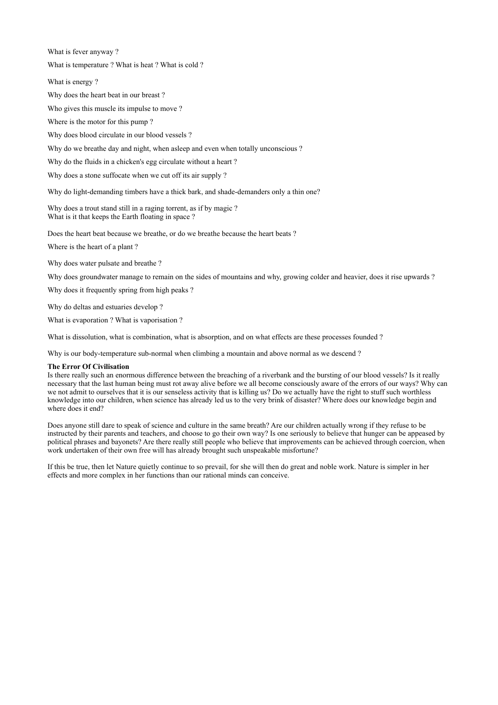What is fever anyway ?

What is temperature ? What is heat ? What is cold ?

What is energy ?

Why does the heart beat in our breast ?

Who gives this muscle its impulse to move ?

Where is the motor for this pump ?

Why does blood circulate in our blood vessels ?

Why do we breathe day and night, when asleep and even when totally unconscious ?

Why do the fluids in a chicken's egg circulate without a heart?

Why does a stone suffocate when we cut off its air supply ?

Why do light-demanding timbers have a thick bark, and shade-demanders only a thin one?

Why does a trout stand still in a raging torrent, as if by magic ? What is it that keeps the Earth floating in space ?

Does the heart beat because we breathe, or do we breathe because the heart beats ?

Where is the heart of a plant ?

Why does water pulsate and breathe ?

Why does groundwater manage to remain on the sides of mountains and why, growing colder and heavier, does it rise upwards ?

Why does it frequently spring from high peaks ?

Why do deltas and estuaries develop ?

What is evaporation ? What is vaporisation ?

What is dissolution, what is combination, what is absorption, and on what effects are these processes founded ?

Why is our body-temperature sub-normal when climbing a mountain and above normal as we descend?

### **The Error Of Civilisation**

Is there really such an enormous difference between the breaching of a riverbank and the bursting of our blood vessels? Is it really necessary that the last human being must rot away alive before we all become consciously aware of the errors of our ways? Why can we not admit to ourselves that it is our senseless activity that is killing us? Do we actually have the right to stuff such worthless knowledge into our children, when science has already led us to the very brink of disaster? Where does our knowledge begin and where does it end?

Does anyone still dare to speak of science and culture in the same breath? Are our children actually wrong if they refuse to be instructed by their parents and teachers, and choose to go their own way? Is one seriously to believe that hunger can be appeased by political phrases and bayonets? Are there really still people who believe that improvements can be achieved through coercion, when work undertaken of their own free will has already brought such unspeakable misfortune?

If this be true, then let Nature quietly continue to so prevail, for she will then do great and noble work. Nature is simpler in her effects and more complex in her functions than our rational minds can conceive.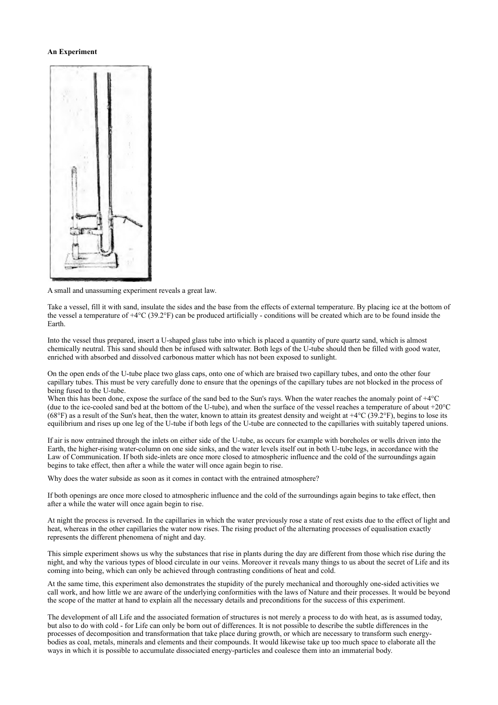# **An Experiment**



A small and unassuming experiment reveals a great law.

Take a vessel, fill it with sand, insulate the sides and the base from the effects of external temperature. By placing ice at the bottom of the vessel a temperature of +4°C (39.2°F) can be produced artificially - conditions will be created which are to be found inside the Earth.

Into the vessel thus prepared, insert a U-shaped glass tube into which is placed a quantity of pure quartz sand, which is almost chemically neutral. This sand should then be infused with saltwater. Both legs of the U-tube should then be filled with good water, enriched with absorbed and dissolved carbonous matter which has not been exposed to sunlight.

On the open ends of the U-tube place two glass caps, onto one of which are braised two capillary tubes, and onto the other four capillary tubes. This must be very carefully done to ensure that the openings of the capillary tubes are not blocked in the process of being fused to the U-tube.

When this has been done, expose the surface of the sand bed to the Sun's rays. When the water reaches the anomaly point of  $+4^{\circ}C$ (due to the ice-cooled sand bed at the bottom of the U-tube), and when the surface of the vessel reaches a temperature of about +20°C (68°F) as a result of the Sun's heat, then the water, known to attain its greatest density and weight at  $+4^{\circ}C(39.2^{\circ}F)$ , begins to lose its equilibrium and rises up one leg of the U-tube if both legs of the U-tube are connected to the capillaries with suitably tapered unions.

If air is now entrained through the inlets on either side of the U-tube, as occurs for example with boreholes or wells driven into the Earth, the higher-rising water-column on one side sinks, and the water levels itself out in both U-tube legs, in accordance with the Law of Communication. If both side-inlets are once more closed to atmospheric influence and the cold of the surroundings again begins to take effect, then after a while the water will once again begin to rise.

Why does the water subside as soon as it comes in contact with the entrained atmosphere?

If both openings are once more closed to atmospheric influence and the cold of the surroundings again begins to take effect, then after a while the water will once again begin to rise.

At night the process is reversed. In the capillaries in which the water previously rose a state of rest exists due to the effect of light and heat, whereas in the other capillaries the water now rises. The rising product of the alternating processes of equalisation exactly represents the different phenomena of night and day.

This simple experiment shows us why the substances that rise in plants during the day are different from those which rise during the night, and why the various types of blood circulate in our veins. Moreover it reveals many things to us about the secret of Life and its coming into being, which can only be achieved through contrasting conditions of heat and cold.

At the same time, this experiment also demonstrates the stupidity of the purely mechanical and thoroughly one-sided activities we call work, and how little we are aware of the underlying conformities with the laws of Nature and their processes. It would be beyond the scope of the matter at hand to explain all the necessary details and preconditions for the success of this experiment.

The development of all Life and the associated formation of structures is not merely a process to do with heat, as is assumed today, but also to do with cold - for Life can only be born out of differences. It is not possible to describe the subtle differences in the processes of decomposition and transformation that take place during growth, or which are necessary to transform such energybodies as coal, metals, minerals and elements and their compounds. It would likewise take up too much space to elaborate all the ways in which it is possible to accumulate dissociated energy-particles and coalesce them into an immaterial body.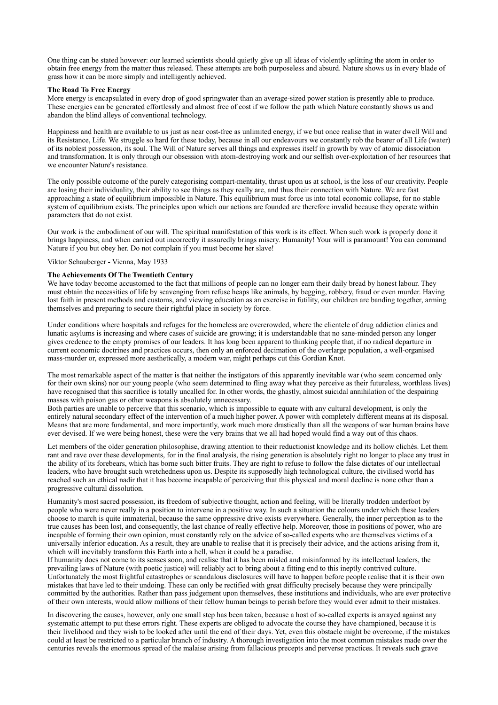One thing can be stated however: our learned scientists should quietly give up all ideas of violently splitting the atom in order to obtain free energy from the matter thus released. These attempts are both purposeless and absurd. Nature shows us in every blade of grass how it can be more simply and intelligently achieved.

# **The Road To Free Energy**

More energy is encapsulated in every drop of good springwater than an average-sized power station is presently able to produce. These energies can be generated effortlessly and almost free of cost if we follow the path which Nature constantly shows us and abandon the blind alleys of conventional technology.

Happiness and health are available to us just as near cost-free as unlimited energy, if we but once realise that in water dwell Will and its Resistance, Life. We struggle so hard for these today, because in all our endeavours we constantly rob the bearer of all Life (water) of its noblest possession, its soul. The Will of Nature serves all things and expresses itself in growth by way of atomic dissociation and transformation. It is only through our obsession with atom-destroying work and our selfish over-exploitation of her resources that we encounter Nature's resistance.

The only possible outcome of the purely categorising compart-mentality, thrust upon us at school, is the loss of our creativity. People are losing their individuality, their ability to see things as they really are, and thus their connection with Nature. We are fast approaching a state of equilibrium impossible in Nature. This equilibrium must force us into total economic collapse, for no stable system of equilibrium exists. The principles upon which our actions are founded are therefore invalid because they operate within parameters that do not exist.

Our work is the embodiment of our will. The spiritual manifestation of this work is its effect. When such work is properly done it brings happiness, and when carried out incorrectly it assuredly brings misery. Humanity! Your will is paramount! You can command Nature if you but obey her. Do not complain if you must become her slave!

Viktor Schauberger - Vienna, May 1933

# **The Achievements Of The Twentieth Century**

We have today become accustomed to the fact that millions of people can no longer earn their daily bread by honest labour. They must obtain the necessities of life by scavenging from refuse heaps like animals, by begging, robbery, fraud or even murder. Having lost faith in present methods and customs, and viewing education as an exercise in futility, our children are banding together, arming themselves and preparing to secure their rightful place in society by force.

Under conditions where hospitals and refuges for the homeless are overcrowded, where the clientele of drug addiction clinics and lunatic asylums is increasing and where cases of suicide are growing; it is understandable that no sane-minded person any longer gives credence to the empty promises of our leaders. It has long been apparent to thinking people that, if no radical departure in current economic doctrines and practices occurs, then only an enforced decimation of the overlarge population, a well-organised mass-murder or, expressed more aesthetically, a modern war, might perhaps cut this Gordian Knot.

The most remarkable aspect of the matter is that neither the instigators of this apparently inevitable war (who seem concerned only for their own skins) nor our young people (who seem determined to fling away what they perceive as their futureless, worthless lives) have recognised that this sacrifice is totally uncalled for. In other words, the ghastly, almost suicidal annihilation of the despairing masses with poison gas or other weapons is absolutely unnecessary.

Both parties are unable to perceive that this scenario, which is impossible to equate with any cultural development, is only the entirely natural secondary effect of the intervention of a much higher power. A power with completely different means at its disposal. Means that are more fundamental, and more importantly, work much more drastically than all the weapons of war human brains have ever devised. If we were being honest, these were the very brains that we all had hoped would find a way out of this chaos.

Let members of the older generation philosophise, drawing attention to their reductionist knowledge and its hollow clichés. Let them rant and rave over these developments, for in the final analysis, the rising generation is absolutely right no longer to place any trust in the ability of its forebears, which has borne such bitter fruits. They are right to refuse to follow the false dictates of our intellectual leaders, who have brought such wretchedness upon us. Despite its supposedly high technological culture, the civilised world has reached such an ethical nadir that it has become incapable of perceiving that this physical and moral decline is none other than a progressive cultural dissolution.

Humanity's most sacred possession, its freedom of subjective thought, action and feeling, will be literally trodden underfoot by people who were never really in a position to intervene in a positive way. In such a situation the colours under which these leaders choose to march is quite immaterial, because the same oppressive drive exists everywhere. Generally, the inner perception as to the true causes has been lost, and consequently, the last chance of really effective help. Moreover, those in positions of power, who are incapable of forming their own opinion, must constantly rely on the advice of so-called experts who are themselves victims of a universally inferior education. As a result, they are unable to realise that it is precisely their advice, and the actions arising from it, which will inevitably transform this Earth into a hell, when it could be a paradise.

If humanity does not come to its senses soon, and realise that it has been misled and misinformed by its intellectual leaders, the prevailing laws of Nature (with poetic justice) will reliably act to bring about a fitting end to this ineptly contrived culture. Unfortunately the most frightful catastrophes or scandalous disclosures will have to happen before people realise that it is their own mistakes that have led to their undoing. These can only be rectified with great difficulty precisely because they were principally committed by the authorities. Rather than pass judgement upon themselves, these institutions and individuals, who are ever protective of their own interests, would allow millions of their fellow human beings to perish before they would ever admit to their mistakes.

In discovering the causes, however, only one small step has been taken, because a host of so-called experts is arrayed against any systematic attempt to put these errors right. These experts are obliged to advocate the course they have championed, because it is their livelihood and they wish to be looked after until the end of their days. Yet, even this obstacle might be overcome, if the mistakes could at least be restricted to a particular branch of industry. A thorough investigation into the most common mistakes made over the centuries reveals the enormous spread of the malaise arising from fallacious precepts and perverse practices. It reveals such grave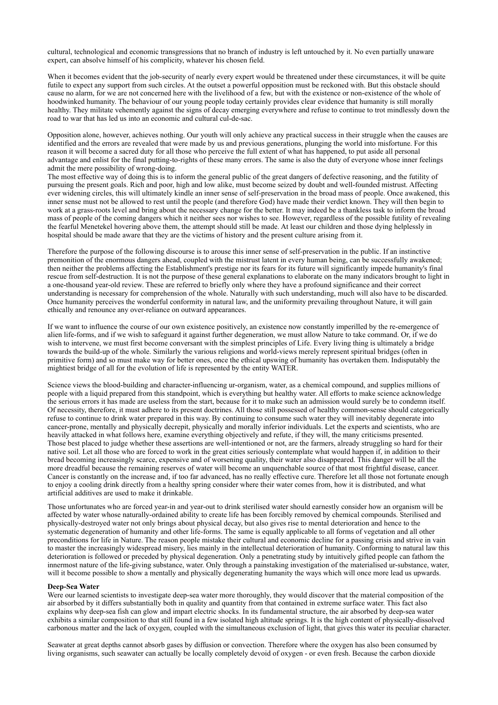cultural, technological and economic transgressions that no branch of industry is left untouched by it. No even partially unaware expert, can absolve himself of his complicity, whatever his chosen field.

When it becomes evident that the job-security of nearly every expert would be threatened under these circumstances, it will be quite futile to expect any support from such circles. At the outset a powerful opposition must be reckoned with. But this obstacle should cause no alarm, for we are not concerned here with the livelihood of a few, but with the existence or non-existence of the whole of hoodwinked humanity. The behaviour of our young people today certainly provides clear evidence that humanity is still morally healthy. They militate vehemently against the signs of decay emerging everywhere and refuse to continue to trot mindlessly down the road to war that has led us into an economic and cultural cul-de-sac.

Opposition alone, however, achieves nothing. Our youth will only achieve any practical success in their struggle when the causes are identified and the errors are revealed that were made by us and previous generations, plunging the world into misfortune. For this reason it will become a sacred duty for all those who perceive the full extent of what has happened, to put aside all personal advantage and enlist for the final putting-to-rights of these many errors. The same is also the duty of everyone whose inner feelings admit the mere possibility of wrong-doing.

The most effective way of doing this is to inform the general public of the great dangers of defective reasoning, and the futility of pursuing the present goals. Rich and poor, high and low alike, must become seized by doubt and well-founded mistrust. Affecting ever widening circles, this will ultimately kindle an inner sense of self-preservation in the broad mass of people. Once awakened, this inner sense must not be allowed to rest until the people (and therefore God) have made their verdict known. They will then begin to work at a grass-roots level and bring about the necessary change for the better. It may indeed be a thankless task to inform the broad mass of people of the coming dangers which it neither sees nor wishes to see. However, regardless of the possible futility of revealing the fearful Menetekel hovering above them, the attempt should still be made. At least our children and those dying helplessly in hospital should be made aware that they are the victims of history and the present culture arising from it.

Therefore the purpose of the following discourse is to arouse this inner sense of self-preservation in the public. If an instinctive premonition of the enormous dangers ahead, coupled with the mistrust latent in every human being, can be successfully awakened; then neither the problems affecting the Establishment's prestige nor its fears for its future will significantly impede humanity's final rescue from self-destruction. It is not the purpose of these general explanations to elaborate on the many indicators brought to light in a one-thousand year-old review. These are referred to briefly only where they have a profound significance and their correct understanding is necessary for comprehension of the whole. Naturally with such understanding, much will also have to be discarded. Once humanity perceives the wonderful conformity in natural law, and the uniformity prevailing throughout Nature, it will gain ethically and renounce any over-reliance on outward appearances.

If we want to influence the course of our own existence positively, an existence now constantly imperilled by the re-emergence of alien life-forms, and if we wish to safeguard it against further degeneration, we must allow Nature to take command. Or, if we do wish to intervene, we must first become conversant with the simplest principles of Life. Every living thing is ultimately a bridge towards the build-up of the whole. Similarly the various religions and world-views merely represent spiritual bridges (often in primitive form) and so must make way for better ones, once the ethical upswing of humanity has overtaken them. Indisputably the mightiest bridge of all for the evolution of life is represented by the entity WATER.

Science views the blood-building and character-influencing ur-organism, water, as a chemical compound, and supplies millions of people with a liquid prepared from this standpoint, which is everything but healthy water. All efforts to make science acknowledge the serious errors it has made are useless from the start, because for it to make such an admission would surely be to condemn itself. Of necessity, therefore, it must adhere to its present doctrines. All those still possessed of healthy common-sense should categorically refuse to continue to drink water prepared in this way. By continuing to consume such water they will inevitably degenerate into cancer-prone, mentally and physically decrepit, physically and morally inferior individuals. Let the experts and scientists, who are heavily attacked in what follows here, examine everything objectively and refute, if they will, the many criticisms presented. Those best placed to judge whether these assertions are well-intentioned or not, are the farmers, already struggling so hard for their native soil. Let all those who are forced to work in the great cities seriously contemplate what would happen if, in addition to their bread becoming increasingly scarce, expensive and of worsening quality, their water also disappeared. This danger will be all the more dreadful because the remaining reserves of water will become an unquenchable source of that most frightful disease, cancer. Cancer is constantly on the increase and, if too far advanced, has no really effective cure. Therefore let all those not fortunate enough to enjoy a cooling drink directly from a healthy spring consider where their water comes from, how it is distributed, and what artificial additives are used to make it drinkable.

Those unfortunates who are forced year-in and year-out to drink sterilised water should earnestly consider how an organism will be affected by water whose naturally-ordained ability to create life has been forcibly removed by chemical compounds. Sterilised and physically-destroyed water not only brings about physical decay, but also gives rise to mental deterioration and hence to the systematic degeneration of humanity and other life-forms. The same is equally applicable to all forms of vegetation and all other preconditions for life in Nature. The reason people mistake their cultural and economic decline for a passing crisis and strive in vain to master the increasingly widespread misery, lies mainly in the intellectual deterioration of humanity. Conforming to natural law this deterioration is followed or preceded by physical degeneration. Only a penetrating study by intuitively gifted people can fathom the innermost nature of the life-giving substance, water. Only through a painstaking investigation of the materialised ur-substance, water, will it become possible to show a mentally and physically degenerating humanity the ways which will once more lead us upwards.

# **Deep-Sea Water**

Were our learned scientists to investigate deep-sea water more thoroughly, they would discover that the material composition of the air absorbed by it differs substantially both in quality and quantity from that contained in extreme surface water. This fact also explains why deep-sea fish can glow and impart electric shocks. In its fundamental structure, the air absorbed by deep-sea water exhibits a similar composition to that still found in a few isolated high altitude springs. It is the high content of physically-dissolved carbonous matter and the lack of oxygen, coupled with the simultaneous exclusion of light, that gives this water its peculiar character.

Seawater at great depths cannot absorb gases by diffusion or convection. Therefore where the oxygen has also been consumed by living organisms, such seawater can actually be locally completely devoid of oxygen - or even fresh. Because the carbon dioxide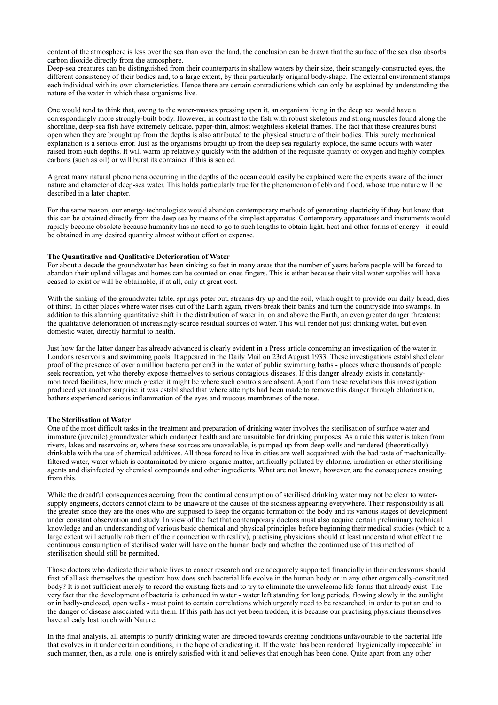content of the atmosphere is less over the sea than over the land, the conclusion can be drawn that the surface of the sea also absorbs carbon dioxide directly from the atmosphere.

Deep-sea creatures can be distinguished from their counterparts in shallow waters by their size, their strangely-constructed eyes, the different consistency of their bodies and, to a large extent, by their particularly original body-shape. The external environment stamps each individual with its own characteristics. Hence there are certain contradictions which can only be explained by understanding the nature of the water in which these organisms live.

One would tend to think that, owing to the water-masses pressing upon it, an organism living in the deep sea would have a correspondingly more strongly-built body. However, in contrast to the fish with robust skeletons and strong muscles found along the shoreline, deep-sea fish have extremely delicate, paper-thin, almost weightless skeletal frames. The fact that these creatures burst open when they are brought up from the depths is also attributed to the physical structure of their bodies. This purely mechanical explanation is a serious error. Just as the organisms brought up from the deep sea regularly explode, the same occurs with water raised from such depths. It will warm up relatively quickly with the addition of the requisite quantity of oxygen and highly complex carbons (such as oil) or will burst its container if this is sealed.

A great many natural phenomena occurring in the depths of the ocean could easily be explained were the experts aware of the inner nature and character of deep-sea water. This holds particularly true for the phenomenon of ebb and flood, whose true nature will be described in a later chapter.

For the same reason, our energy-technologists would abandon contemporary methods of generating electricity if they but knew that this can be obtained directly from the deep sea by means of the simplest apparatus. Contemporary apparatuses and instruments would rapidly become obsolete because humanity has no need to go to such lengths to obtain light, heat and other forms of energy - it could be obtained in any desired quantity almost without effort or expense.

# **The Quantitative and Qualitative Deterioration of Water**

For about a decade the groundwater has been sinking so fast in many areas that the number of years before people will be forced to abandon their upland villages and homes can be counted on ones fingers. This is either because their vital water supplies will have ceased to exist or will be obtainable, if at all, only at great cost.

With the sinking of the groundwater table, springs peter out, streams dry up and the soil, which ought to provide our daily bread, dies of thirst. In other places where water rises out of the Earth again, rivers break their banks and turn the countryside into swamps. In addition to this alarming quantitative shift in the distribution of water in, on and above the Earth, an even greater danger threatens: the qualitative deterioration of increasingly-scarce residual sources of water. This will render not just drinking water, but even domestic water, directly harmful to health.

Just how far the latter danger has already advanced is clearly evident in a Press article concerning an investigation of the water in Londons reservoirs and swimming pools. It appeared in the Daily Mail on 23rd August 1933. These investigations established clear proof of the presence of over a million bacteria per cm3 in the water of public swimming baths - places where thousands of people seek recreation, yet who thereby expose themselves to serious contagious diseases. If this danger already exists in constantlymonitored facilities, how much greater it might be where such controls are absent. Apart from these revelations this investigation produced yet another surprise: it was established that where attempts had been made to remove this danger through chlorination, bathers experienced serious inflammation of the eyes and mucous membranes of the nose.

### **The Sterilisation of Water**

One of the most difficult tasks in the treatment and preparation of drinking water involves the sterilisation of surface water and immature (juvenile) groundwater which endanger health and are unsuitable for drinking purposes. As a rule this water is taken from rivers, lakes and reservoirs or, where these sources are unavailable, is pumped up from deep wells and rendered (theoretically) drinkable with the use of chemical additives. All those forced to live in cities are well acquainted with the bad taste of mechanicallyfiltered water, water which is contaminated by micro-organic matter, artificially polluted by chlorine, irradiation or other sterilising agents and disinfected by chemical compounds and other ingredients. What are not known, however, are the consequences ensuing from this.

While the dreadful consequences accruing from the continual consumption of sterilised drinking water may not be clear to watersupply engineers, doctors cannot claim to be unaware of the causes of the sickness appearing everywhere. Their responsibility is all the greater since they are the ones who are supposed to keep the organic formation of the body and its various stages of development under constant observation and study. In view of the fact that contemporary doctors must also acquire certain preliminary technical knowledge and an understanding of various basic chemical and physical principles before beginning their medical studies (which to a large extent will actually rob them of their connection with reality), practising physicians should at least understand what effect the continuous consumption of sterilised water will have on the human body and whether the continued use of this method of sterilisation should still be permitted.

Those doctors who dedicate their whole lives to cancer research and are adequately supported financially in their endeavours should first of all ask themselves the question: how does such bacterial life evolve in the human body or in any other organically-constituted body? It is not sufficient merely to record the existing facts and to try to eliminate the unwelcome life-forms that already exist. The very fact that the development of bacteria is enhanced in water - water left standing for long periods, flowing slowly in the sunlight or in badly-enclosed, open wells - must point to certain correlations which urgently need to be researched, in order to put an end to the danger of disease associated with them. If this path has not yet been trodden, it is because our practising physicians themselves have already lost touch with Nature.

In the final analysis, all attempts to purify drinking water are directed towards creating conditions unfavourable to the bacterial life that evolves in it under certain conditions, in the hope of eradicating it. If the water has been rendered `hygienically impeccable` in such manner, then, as a rule, one is entirely satisfied with it and believes that enough has been done. Quite apart from any other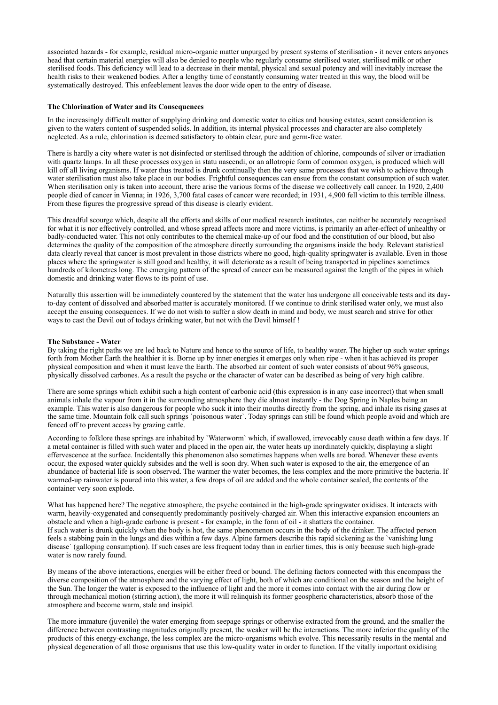associated hazards - for example, residual micro-organic matter unpurged by present systems of sterilisation - it never enters anyones head that certain material energies will also be denied to people who regularly consume sterilised water, sterilised milk or other sterilised foods. This deficiency will lead to a decrease in their mental, physical and sexual potency and will inevitably increase the health risks to their weakened bodies. After a lengthy time of constantly consuming water treated in this way, the blood will be systematically destroyed. This enfeeblement leaves the door wide open to the entry of disease.

# **The Chlorination of Water and its Consequences**

In the increasingly difficult matter of supplying drinking and domestic water to cities and housing estates, scant consideration is given to the waters content of suspended solids. In addition, its internal physical processes and character are also completely neglected. As a rule, chlorination is deemed satisfactory to obtain clear, pure and germ-free water.

There is hardly a city where water is not disinfected or sterilised through the addition of chlorine, compounds of silver or irradiation with quartz lamps. In all these processes oxygen in statu nascendi, or an allotropic form of common oxygen, is produced which will kill off all living organisms. If water thus treated is drunk continually then the very same processes that we wish to achieve through water sterilisation must also take place in our bodies. Frightful consequences can ensue from the constant consumption of such water. When sterilisation only is taken into account, there arise the various forms of the disease we collectively call cancer. In 1920, 2,400 people died of cancer in Vienna; in 1926, 3,700 fatal cases of cancer were recorded; in 1931, 4,900 fell victim to this terrible illness. From these figures the progressive spread of this disease is clearly evident.

This dreadful scourge which, despite all the efforts and skills of our medical research institutes, can neither be accurately recognised for what it is nor effectively controlled, and whose spread affects more and more victims, is primarily an after-effect of unhealthy or badly-conducted water. This not only contributes to the chemical make-up of our food and the constitution of our blood, but also determines the quality of the composition of the atmosphere directly surrounding the organisms inside the body. Relevant statistical data clearly reveal that cancer is most prevalent in those districts where no good, high-quality springwater is available. Even in those places where the springwater is still good and healthy, it will deteriorate as a result of being transported in pipelines sometimes hundreds of kilometres long. The emerging pattern of the spread of cancer can be measured against the length of the pipes in which domestic and drinking water flows to its point of use.

Naturally this assertion will be immediately countered by the statement that the water has undergone all conceivable tests and its dayto-day content of dissolved and absorbed matter is accurately monitored. If we continue to drink sterilised water only, we must also accept the ensuing consequences. If we do not wish to suffer a slow death in mind and body, we must search and strive for other ways to cast the Devil out of todays drinking water, but not with the Devil himself !

# **The Substance - Water**

By taking the right paths we are led back to Nature and hence to the source of life, to healthy water. The higher up such water springs forth from Mother Earth the healthier it is. Borne up by inner energies it emerges only when ripe - when it has achieved its proper physical composition and when it must leave the Earth. The absorbed air content of such water consists of about 96% gaseous, physically dissolved carbones. As a result the psyche or the character of water can be described as being of very high calibre.

There are some springs which exhibit such a high content of carbonic acid (this expression is in any case incorrect) that when small animals inhale the vapour from it in the surrounding atmosphere they die almost instantly - the Dog Spring in Naples being an example. This water is also dangerous for people who suck it into their mouths directly from the spring, and inhale its rising gases at the same time. Mountain folk call such springs `poisonous water`. Today springs can still be found which people avoid and which are fenced off to prevent access by grazing cattle.

According to folklore these springs are inhabited by `Waterworm` which, if swallowed, irrevocably cause death within a few days. If a metal container is filled with such water and placed in the open air, the water heats up inordinately quickly, displaying a slight effervescence at the surface. Incidentally this phenomenon also sometimes happens when wells are bored. Whenever these events occur, the exposed water quickly subsides and the well is soon dry. When such water is exposed to the air, the emergence of an abundance of bacterial life is soon observed. The warmer the water becomes, the less complex and the more primitive the bacteria. If warmed-up rainwater is poured into this water, a few drops of oil are added and the whole container sealed, the contents of the container very soon explode.

What has happened here? The negative atmosphere, the psyche contained in the high-grade springwater oxidises. It interacts with warm, heavily-oxygenated and consequently predominantly positively-charged air. When this interactive expansion encounters an obstacle and when a high-grade carbone is present - for example, in the form of oil - it shatters the container. If such water is drunk quickly when the body is hot, the same phenomenon occurs in the body of the drinker. The affected person feels a stabbing pain in the lungs and dies within a few days. Alpine farmers describe this rapid sickening as the `vanishing lung disease` (galloping consumption). If such cases are less frequent today than in earlier times, this is only because such high-grade water is now rarely found.

By means of the above interactions, energies will be either freed or bound. The defining factors connected with this encompass the diverse composition of the atmosphere and the varying effect of light, both of which are conditional on the season and the height of the Sun. The longer the water is exposed to the influence of light and the more it comes into contact with the air during flow or through mechanical motion (stirring action), the more it will relinquish its former geospheric characteristics, absorb those of the atmosphere and become warm, stale and insipid.

The more immature (juvenile) the water emerging from seepage springs or otherwise extracted from the ground, and the smaller the difference between contrasting magnitudes originally present, the weaker will be the interactions. The more inferior the quality of the products of this energy-exchange, the less complex are the micro-organisms which evolve. This necessarily results in the mental and physical degeneration of all those organisms that use this low-quality water in order to function. If the vitally important oxidising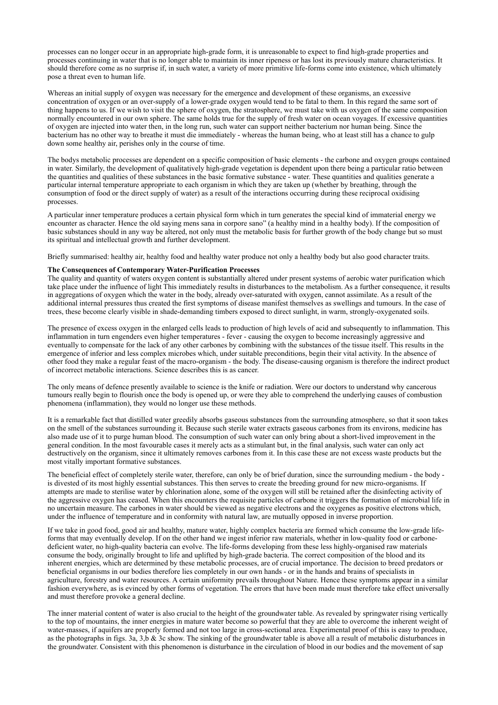processes can no longer occur in an appropriate high-grade form, it is unreasonable to expect to find high-grade properties and processes continuing in water that is no longer able to maintain its inner ripeness or has lost its previously mature characteristics. It should therefore come as no surprise if, in such water, a variety of more primitive life-forms come into existence, which ultimately pose a threat even to human life.

Whereas an initial supply of oxygen was necessary for the emergence and development of these organisms, an excessive concentration of oxygen or an over-supply of a lower-grade oxygen would tend to be fatal to them. In this regard the same sort of thing happens to us. If we wish to visit the sphere of oxygen, the stratosphere, we must take with us oxygen of the same composition normally encountered in our own sphere. The same holds true for the supply of fresh water on ocean voyages. If excessive quantities of oxygen are injected into water then, in the long run, such water can support neither bacterium nor human being. Since the bacterium has no other way to breathe it must die immediately - whereas the human being, who at least still has a chance to gulp down some healthy air, perishes only in the course of time.

The bodys metabolic processes are dependent on a specific composition of basic elements - the carbone and oxygen groups contained in water. Similarly, the development of qualitatively high-grade vegetation is dependent upon there being a particular ratio between the quantities and qualities of these substances in the basic formative substance - water. These quantities and qualities generate a particular internal temperature appropriate to each organism in which they are taken up (whether by breathing, through the consumption of food or the direct supply of water) as a result of the interactions occurring during these reciprocal oxidising processes.

A particular inner temperature produces a certain physical form which in turn generates the special kind of immaterial energy we encounter as character. Hence the old saying mens sana in corpore sano" (a healthy mind in a healthy body). If the composition of basic substances should in any way be altered, not only must the metabolic basis for further growth of the body change but so must its spiritual and intellectual growth and further development.

Briefly summarised: healthy air, healthy food and healthy water produce not only a healthy body but also good character traits.

### **The Consequences of Contemporary Water-Purification Processes**

The quality and quantity of waters oxygen content is substantially altered under present systems of aerobic water purification which take place under the influence of light This immediately results in disturbances to the metabolism. As a further consequence, it results in aggregations of oxygen which the water in the body, already over-saturated with oxygen, cannot assimilate. As a result of the additional internal pressures thus created the first symptoms of disease manifest themselves as swellings and tumours. In the case of trees, these become clearly visible in shade-demanding timbers exposed to direct sunlight, in warm, strongly-oxygenated soils.

The presence of excess oxygen in the enlarged cells leads to production of high levels of acid and subsequently to inflammation. This inflammation in turn engenders even higher temperatures - fever - causing the oxygen to become increasingly aggressive and eventually to compensate for the lack of any other carbones by combining with the substances of the tissue itself. This results in the emergence of inferior and less complex microbes which, under suitable preconditions, begin their vital activity. In the absence of other food they make a regular feast of the macro-organism - the body. The disease-causing organism is therefore the indirect product of incorrect metabolic interactions. Science describes this is as cancer.

The only means of defence presently available to science is the knife or radiation. Were our doctors to understand why cancerous tumours really begin to flourish once the body is opened up, or were they able to comprehend the underlying causes of combustion phenomena (inflammation), they would no longer use these methods.

It is a remarkable fact that distilled water greedily absorbs gaseous substances from the surrounding atmosphere, so that it soon takes on the smell of the substances surrounding it. Because such sterile water extracts gaseous carbones from its environs, medicine has also made use of it to purge human blood. The consumption of such water can only bring about a short-lived improvement in the general condition. In the most favourable cases it merely acts as a stimulant but, in the final analysis, such water can only act destructively on the organism, since it ultimately removes carbones from it. In this case these are not excess waste products but the most vitally important formative substances.

The beneficial effect of completely sterile water, therefore, can only be of brief duration, since the surrounding medium - the body is divested of its most highly essential substances. This then serves to create the breeding ground for new micro-organisms. If attempts are made to sterilise water by chlorination alone, some of the oxygen will still be retained after the disinfecting activity of the aggressive oxygen has ceased. When this encounters the requisite particles of carbone it triggers the formation of microbial life in no uncertain measure. The carbones in water should be viewed as negative electrons and the oxygenes as positive electrons which, under the influence of temperature and in conformity with natural law, are mutually opposed in inverse proportion.

If we take in good food, good air and healthy, mature water, highly complex bacteria are formed which consume the low-grade lifeforms that may eventually develop. If on the other hand we ingest inferior raw materials, whether in low-quality food or carbonedeficient water, no high-quality bacteria can evolve. The life-forms developing from these less highly-organised raw materials consume the body, originally brought to life and uplifted by high-grade bacteria. The correct composition of the blood and its inherent energies, which are determined by these metabolic processes, are of crucial importance. The decision to breed predators or beneficial organisms in our bodies therefore lies completely in our own hands - or in the hands and brains of specialists in agriculture, forestry and water resources. A certain uniformity prevails throughout Nature. Hence these symptoms appear in a similar fashion everywhere, as is evinced by other forms of vegetation. The errors that have been made must therefore take effect universally and must therefore provoke a general decline.

The inner material content of water is also crucial to the height of the groundwater table. As revealed by springwater rising vertically to the top of mountains, the inner energies in mature water become so powerful that they are able to overcome the inherent weight of water-masses, if aquifers are properly formed and not too large in cross-sectional area. Experimental proof of this is easy to produce, as the photographs in figs. 3a, 3,b & 3c show. The sinking of the groundwater table is above all a result of metabolic disturbances in the groundwater. Consistent with this phenomenon is disturbance in the circulation of blood in our bodies and the movement of sap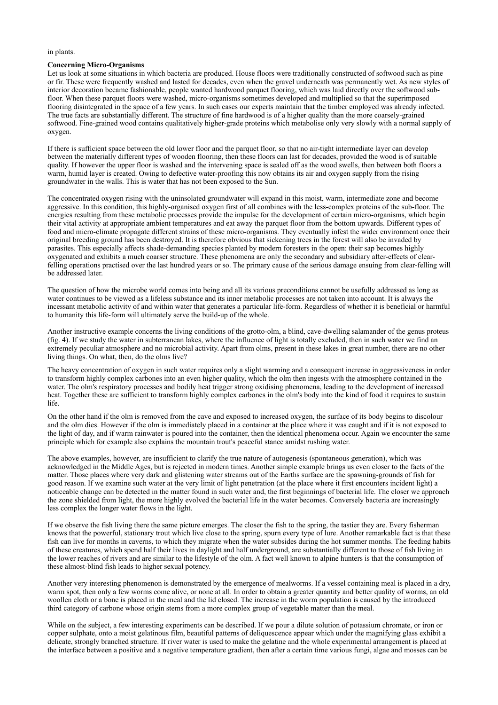in plants.

### **Concerning Micro-Organisms**

Let us look at some situations in which bacteria are produced. House floors were traditionally constructed of softwood such as pine or fir. These were frequently washed and lasted for decades, even when the gravel underneath was permanently wet. As new styles of interior decoration became fashionable, people wanted hardwood parquet flooring, which was laid directly over the softwood subfloor. When these parquet floors were washed, micro-organisms sometimes developed and multiplied so that the superimposed flooring disintegrated in the space of a few years. In such cases our experts maintain that the timber employed was already infected. The true facts are substantially different. The structure of fine hardwood is of a higher quality than the more coarsely-grained softwood. Fine-grained wood contains qualitatively higher-grade proteins which metabolise only very slowly with a normal supply of oxygen.

If there is sufficient space between the old lower floor and the parquet floor, so that no air-tight intermediate layer can develop between the materially different types of wooden flooring, then these floors can last for decades, provided the wood is of suitable quality. If however the upper floor is washed and the intervening space is sealed off as the wood swells, then between both floors a warm, humid layer is created. Owing to defective water-proofing this now obtains its air and oxygen supply from the rising groundwater in the walls. This is water that has not been exposed to the Sun.

The concentrated oxygen rising with the uninsolated groundwater will expand in this moist, warm, intermediate zone and become aggressive. In this condition, this highly-organised oxygen first of all combines with the less-complex proteins of the sub-floor. The energies resulting from these metabolic processes provide the impulse for the development of certain micro-organisms, which begin their vital activity at appropriate ambient temperatures and eat away the parquet floor from the bottom upwards. Different types of food and micro-climate propagate different strains of these micro-organisms. They eventually infest the wider environment once their original breeding ground has been destroyed. It is therefore obvious that sickening trees in the forest will also be invaded by parasites. This especially affects shade-demanding species planted by modern foresters in the open: their sap becomes highly oxygenated and exhibits a much coarser structure. These phenomena are only the secondary and subsidiary after-effects of clearfelling operations practised over the last hundred years or so. The primary cause of the serious damage ensuing from clear-felling will be addressed later.

The question of how the microbe world comes into being and all its various preconditions cannot be usefully addressed as long as water continues to be viewed as a lifeless substance and its inner metabolic processes are not taken into account. It is always the incessant metabolic activity of and within water that generates a particular life-form. Regardless of whether it is beneficial or harmful to humanity this life-form will ultimately serve the build-up of the whole.

Another instructive example concerns the living conditions of the grotto-olm, a blind, cave-dwelling salamander of the genus proteus (fig. 4). If we study the water in subterranean lakes, where the influence of light is totally excluded, then in such water we find an extremely peculiar atmosphere and no microbial activity. Apart from olms, present in these lakes in great number, there are no other living things. On what, then, do the olms live?

The heavy concentration of oxygen in such water requires only a slight warming and a consequent increase in aggressiveness in order to transform highly complex carbones into an even higher quality, which the olm then ingests with the atmosphere contained in the water. The olm's respiratory processes and bodily heat trigger strong oxidising phenomena, leading to the development of increased heat. Together these are sufficient to transform highly complex carbones in the olm's body into the kind of food it requires to sustain life.

On the other hand if the olm is removed from the cave and exposed to increased oxygen, the surface of its body begins to discolour and the olm dies. However if the olm is immediately placed in a container at the place where it was caught and if it is not exposed to the light of day, and if warm rainwater is poured into the container, then the identical phenomena occur. Again we encounter the same principle which for example also explains the mountain trout's peaceful stance amidst rushing water.

The above examples, however, are insufficient to clarify the true nature of autogenesis (spontaneous generation), which was acknowledged in the Middle Ages, but is rejected in modern times. Another simple example brings us even closer to the facts of the matter. Those places where very dark and glistening water streams out of the Earths surface are the spawning-grounds of fish for good reason. If we examine such water at the very limit of light penetration (at the place where it first encounters incident light) a noticeable change can be detected in the matter found in such water and, the first beginnings of bacterial life. The closer we approach the zone shielded from light, the more highly evolved the bacterial life in the water becomes. Conversely bacteria are increasingly less complex the longer water flows in the light.

If we observe the fish living there the same picture emerges. The closer the fish to the spring, the tastier they are. Every fisherman knows that the powerful, stationary trout which live close to the spring, spurn every type of lure. Another remarkable fact is that these fish can live for months in caverns, to which they migrate when the water subsides during the hot summer months. The feeding habits of these creatures, which spend half their lives in daylight and half underground, are substantially different to those of fish living in the lower reaches of rivers and are similar to the lifestyle of the olm. A fact well known to alpine hunters is that the consumption of these almost-blind fish leads to higher sexual potency.

Another very interesting phenomenon is demonstrated by the emergence of mealworms. If a vessel containing meal is placed in a dry, warm spot, then only a few worms come alive, or none at all. In order to obtain a greater quantity and better quality of worms, an old woollen cloth or a bone is placed in the meal and the lid closed. The increase in the worm population is caused by the introduced third category of carbone whose origin stems from a more complex group of vegetable matter than the meal.

While on the subject, a few interesting experiments can be described. If we pour a dilute solution of potassium chromate, or iron or copper sulphate, onto a moist gelatinous film, beautiful patterns of deliquescence appear which under the magnifying glass exhibit a delicate, strongly branched structure. If river water is used to make the gelatine and the whole experimental arrangement is placed at the interface between a positive and a negative temperature gradient, then after a certain time various fungi, algae and mosses can be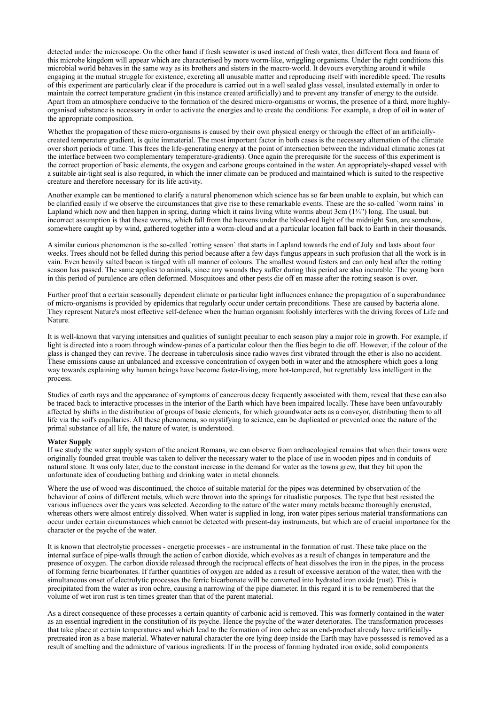detected under the microscope. On the other hand if fresh seawater is used instead of fresh water, then different flora and fauna of this microbe kingdom will appear which are characterised by more worm-like, wriggling organisms. Under the right conditions this microbial world behaves in the same way as its brothers and sisters in the macro-world. It devours everything around it while engaging in the mutual struggle for existence, excreting all unusable matter and reproducing itself with incredible speed. The results of this experiment are particularly clear if the procedure is carried out in a well sealed glass vessel, insulated externally in order to maintain the correct temperature gradient (in this instance created artificially) and to prevent any transfer of energy to the outside. Apart from an atmosphere conducive to the formation of the desired micro-organisms or worms, the presence of a third, more highlyorganised substance is necessary in order to activate the energies and to create the conditions: For example, a drop of oil in water of the appropriate composition.

Whether the propagation of these micro-organisms is caused by their own physical energy or through the effect of an artificiallycreated temperature gradient, is quite immaterial. The most important factor in both cases is the necessary alternation of the climate over short periods of time. This frees the life-generating energy at the point of intersection between the individual climatic zones (at the interface between two complementary temperature-gradients). Once again the prerequisite for the success of this experiment is the correct proportion of basic elements, the oxygen and carbone groups contained in the water. An appropriately-shaped vessel with a suitable air-tight seal is also required, in which the inner climate can be produced and maintained which is suited to the respective creature and therefore necessary for its life activity.

Another example can be mentioned to clarify a natural phenomenon which science has so far been unable to explain, but which can be clarified easily if we observe the circumstances that give rise to these remarkable events. These are the so-called `worm rains` in Lapland which now and then happen in spring, during which it rains living white worms about 3cm  $(1/4")$  long. The usual, but incorrect assumption is that these worms, which fall from the heavens under the blood-red light of the midnight Sun, are somehow, somewhere caught up by wind, gathered together into a worm-cloud and at a particular location fall back to Earth in their thousands.

A similar curious phenomenon is the so-called `rotting season` that starts in Lapland towards the end of July and lasts about four weeks. Trees should not be felled during this period because after a few days fungus appears in such profusion that all the work is in vain. Even heavily salted bacon is tinged with all manner of colours. The smallest wound festers and can only heal after the rotting season has passed. The same applies to animals, since any wounds they suffer during this period are also incurable. The young born in this period of purulence are often deformed. Mosquitoes and other pests die off en masse after the rotting season is over.

Further proof that a certain seasonally dependent climate or particular light influences enhance the propagation of a superabundance of micro-organisms is provided by epidemics that regularly occur under certain preconditions. These are caused by bacteria alone. They represent Nature's most effective self-defence when the human organism foolishly interferes with the driving forces of Life and Nature.

It is well-known that varying intensities and qualities of sunlight peculiar to each season play a major role in growth. For example, if light is directed into a room through window-panes of a particular colour then the flies begin to die off. However, if the colour of the glass is changed they can revive. The decrease in tuberculosis since radio waves first vibrated through the ether is also no accident. These emissions cause an unbalanced and excessive concentration of oxygen both in water and the atmosphere which goes a long way towards explaining why human beings have become faster-living, more hot-tempered, but regrettably less intelligent in the process.

Studies of earth rays and the appearance of symptoms of cancerous decay frequently associated with them, reveal that these can also be traced back to interactive processes in the interior of the Earth which have been impaired locally. These have been unfavourably affected by shifts in the distribution of groups of basic elements, for which groundwater acts as a conveyor, distributing them to all life via the soil's capillaries. All these phenomena, so mystifying to science, can be duplicated or prevented once the nature of the primal substance of all life, the nature of water, is understood.

### **Water Supply**

If we study the water supply system of the ancient Romans, we can observe from archaeological remains that when their towns were originally founded great trouble was taken to deliver the necessary water to the place of use in wooden pipes and in conduits of natural stone. It was only later, due to the constant increase in the demand for water as the towns grew, that they hit upon the unfortunate idea of conducting bathing and drinking water in metal channels.

Where the use of wood was discontinued, the choice of suitable material for the pipes was determined by observation of the behaviour of coins of different metals, which were thrown into the springs for ritualistic purposes. The type that best resisted the various influences over the years was selected. According to the nature of the water many metals became thoroughly encrusted, whereas others were almost entirely dissolved. When water is supplied in long, iron water pipes serious material transformations can occur under certain circumstances which cannot be detected with present-day instruments, but which are of crucial importance for the character or the psyche of the water.

It is known that electrolytic processes - energetic processes - are instrumental in the formation of rust. These take place on the internal surface of pipe-walls through the action of carbon dioxide, which evolves as a result of changes in temperature and the presence of oxygen. The carbon dioxide released through the reciprocal effects of heat dissolves the iron in the pipes, in the process of forming ferric bicarbonates. If further quantities of oxygen are added as a result of excessive aeration of the water, then with the simultaneous onset of electrolytic processes the ferric bicarbonate will be converted into hydrated iron oxide (rust). This is precipitated from the water as iron ochre, causing a narrowing of the pipe diameter. In this regard it is to be remembered that the volume of wet iron rust is ten times greater than that of the parent material.

As a direct consequence of these processes a certain quantity of carbonic acid is removed. This was formerly contained in the water as an essential ingredient in the constitution of its psyche. Hence the psyche of the water deteriorates. The transformation processes that take place at certain temperatures and which lead to the formation of iron ochre as an end-product already have artificiallypretreated iron as a base material. Whatever natural character the ore lying deep inside the Earth may have possessed is removed as a result of smelting and the admixture of various ingredients. If in the process of forming hydrated iron oxide, solid components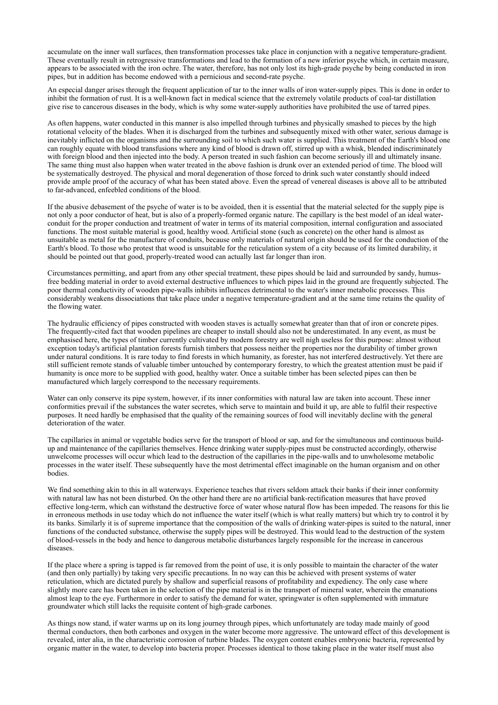accumulate on the inner wall surfaces, then transformation processes take place in conjunction with a negative temperature-gradient. These eventually result in retrogressive transformations and lead to the formation of a new inferior psyche which, in certain measure, appears to be associated with the iron ochre. The water, therefore, has not only lost its high-grade psyche by being conducted in iron pipes, but in addition has become endowed with a pernicious and second-rate psyche.

An especial danger arises through the frequent application of tar to the inner walls of iron water-supply pipes. This is done in order to inhibit the formation of rust. It is a well-known fact in medical science that the extremely volatile products of coal-tar distillation give rise to cancerous diseases in the body, which is why some water-supply authorities have prohibited the use of tarred pipes.

As often happens, water conducted in this manner is also impelled through turbines and physically smashed to pieces by the high rotational velocity of the blades. When it is discharged from the turbines and subsequently mixed with other water, serious damage is inevitably inflicted on the organisms and the surrounding soil to which such water is supplied. This treatment of the Earth's blood one can roughly equate with blood transfusions where any kind of blood is drawn off, stirred up with a whisk, blended indiscriminately with foreign blood and then injected into the body. A person treated in such fashion can become seriously ill and ultimately insane. The same thing must also happen when water treated in the above fashion is drunk over an extended period of time. The blood will be systematically destroyed. The physical and moral degeneration of those forced to drink such water constantly should indeed provide ample proof of the accuracy of what has been stated above. Even the spread of venereal diseases is above all to be attributed to far-advanced, enfeebled conditions of the blood.

If the abusive debasement of the psyche of water is to be avoided, then it is essential that the material selected for the supply pipe is not only a poor conductor of heat, but is also of a properly-formed organic nature. The capillary is the best model of an ideal waterconduit for the proper conduction and treatment of water in terms of its material composition, internal configuration and associated functions. The most suitable material is good, healthy wood. Artificial stone (such as concrete) on the other hand is almost as unsuitable as metal for the manufacture of conduits, because only materials of natural origin should be used for the conduction of the Earth's blood. To those who protest that wood is unsuitable for the reticulation system of a city because of its limited durability, it should be pointed out that good, properly-treated wood can actually last far longer than iron.

Circumstances permitting, and apart from any other special treatment, these pipes should be laid and surrounded by sandy, humusfree bedding material in order to avoid external destructive influences to which pipes laid in the ground are frequently subjected. The poor thermal conductivity of wooden pipe-walls inhibits influences detrimental to the water's inner metabolic processes. This considerably weakens dissociations that take place under a negative temperature-gradient and at the same time retains the quality of the flowing water.

The hydraulic efficiency of pipes constructed with wooden staves is actually somewhat greater than that of iron or concrete pipes. The frequently-cited fact that wooden pipelines are cheaper to install should also not be underestimated. In any event, as must be emphasised here, the types of timber currently cultivated by modern forestry are well nigh useless for this purpose: almost without exception today's artificial plantation forests furnish timbers that possess neither the properties nor the durability of timber grown under natural conditions. It is rare today to find forests in which humanity, as forester, has not interfered destructively. Yet there are still sufficient remote stands of valuable timber untouched by contemporary forestry, to which the greatest attention must be paid if humanity is once more to be supplied with good, healthy water. Once a suitable timber has been selected pipes can then be manufactured which largely correspond to the necessary requirements.

Water can only conserve its pipe system, however, if its inner conformities with natural law are taken into account. These inner conformities prevail if the substances the water secretes, which serve to maintain and build it up, are able to fulfil their respective purposes. It need hardly be emphasised that the quality of the remaining sources of food will inevitably decline with the general deterioration of the water.

The capillaries in animal or vegetable bodies serve for the transport of blood or sap, and for the simultaneous and continuous buildup and maintenance of the capillaries themselves. Hence drinking water supply-pipes must be constructed accordingly, otherwise unwelcome processes will occur which lead to the destruction of the capillaries in the pipe-walls and to unwholesome metabolic processes in the water itself. These subsequently have the most detrimental effect imaginable on the human organism and on other bodies.

We find something akin to this in all waterways. Experience teaches that rivers seldom attack their banks if their inner conformity with natural law has not been disturbed. On the other hand there are no artificial bank-rectification measures that have proved effective long-term, which can withstand the destructive force of water whose natural flow has been impeded. The reasons for this lie in erroneous methods in use today which do not influence the water itself (which is what really matters) but which try to control it by its banks. Similarly it is of supreme importance that the composition of the walls of drinking water-pipes is suited to the natural, inner functions of the conducted substance, otherwise the supply pipes will be destroyed. This would lead to the destruction of the system of blood-vessels in the body and hence to dangerous metabolic disturbances largely responsible for the increase in cancerous diseases.

If the place where a spring is tapped is far removed from the point of use, it is only possible to maintain the character of the water (and then only partially) by taking very specific precautions. In no way can this be achieved with present systems of water reticulation, which are dictated purely by shallow and superficial reasons of profitability and expediency. The only case where slightly more care has been taken in the selection of the pipe material is in the transport of mineral water, wherein the emanations almost leap to the eye. Furthermore in order to satisfy the demand for water, springwater is often supplemented with immature groundwater which still lacks the requisite content of high-grade carbones.

As things now stand, if water warms up on its long journey through pipes, which unfortunately are today made mainly of good thermal conductors, then both carbones and oxygen in the water become more aggressive. The untoward effect of this development is revealed, inter alia, in the characteristic corrosion of turbine blades. The oxygen content enables embryonic bacteria, represented by organic matter in the water, to develop into bacteria proper. Processes identical to those taking place in the water itself must also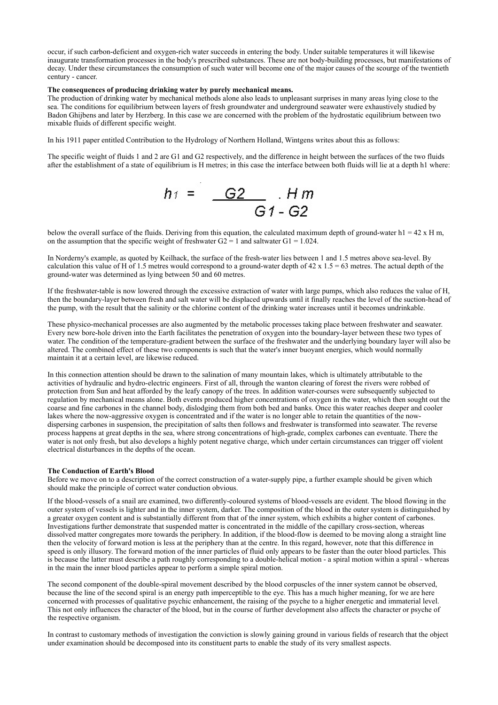occur, if such carbon-deficient and oxygen-rich water succeeds in entering the body. Under suitable temperatures it will likewise inaugurate transformation processes in the body's prescribed substances. These are not body-building processes, but manifestations of decay. Under these circumstances the consumption of such water will become one of the major causes of the scourge of the twentieth century - cancer.

# **The consequences of producing drinking water by purely mechanical means.**

The production of drinking water by mechanical methods alone also leads to unpleasant surprises in many areas lying close to the sea. The conditions for equilibrium between layers of fresh groundwater and underground seawater were exhaustively studied by Badon Ghijbens and later by Herzberg. In this case we are concerned with the problem of the hydrostatic equilibrium between two mixable fluids of different specific weight.

In his 1911 paper entitled Contribution to the Hydrology of Northern Holland, Wintgens writes about this as follows:

The specific weight of fluids 1 and 2 are G1 and G2 respectively, and the difference in height between the surfaces of the two fluids after the establishment of a state of equilibrium is H metres; in this case the interface between both fluids will lie at a depth h1 where:

$$
h_1 = \underline{G2} \quad H m
$$
  

$$
G1 - G2
$$

below the overall surface of the fluids. Deriving from this equation, the calculated maximum depth of ground-water  $h1 = 42 \times H m$ , on the assumption that the specific weight of freshwater  $G2 = 1$  and saltwater  $G1 = 1.024$ .

In Norderny's example, as quoted by Keilhack, the surface of the fresh-water lies between 1 and 1.5 metres above sea-level. By calculation this value of H of 1.5 metres would correspond to a ground-water depth of  $42 \times 1.5 = 63$  metres. The actual depth of the ground-water was determined as lying between 50 and 60 metres.

If the freshwater-table is now lowered through the excessive extraction of water with large pumps, which also reduces the value of H, then the boundary-layer between fresh and salt water will be displaced upwards until it finally reaches the level of the suction-head of the pump, with the result that the salinity or the chlorine content of the drinking water increases until it becomes undrinkable.

These physico-mechanical processes are also augmented by the metabolic processes taking place between freshwater and seawater. Every new bore-hole driven into the Earth facilitates the penetration of oxygen into the boundary-layer between these two types of water. The condition of the temperature-gradient between the surface of the freshwater and the underlying boundary layer will also be altered. The combined effect of these two components is such that the water's inner buoyant energies, which would normally maintain it at a certain level, are likewise reduced.

In this connection attention should be drawn to the salination of many mountain lakes, which is ultimately attributable to the activities of hydraulic and hydro-electric engineers. First of all, through the wanton clearing of forest the rivers were robbed of protection from Sun and heat afforded by the leafy canopy of the trees. In addition water-courses were subsequently subjected to regulation by mechanical means alone. Both events produced higher concentrations of oxygen in the water, which then sought out the coarse and fine carbones in the channel body, dislodging them from both bed and banks. Once this water reaches deeper and cooler lakes where the now-aggressive oxygen is concentrated and if the water is no longer able to retain the quantities of the nowdispersing carbones in suspension, the precipitation of salts then follows and freshwater is transformed into seawater. The reverse process happens at great depths in the sea, where strong concentrations of high-grade, complex carbones can eventuate. There the water is not only fresh, but also develops a highly potent negative charge, which under certain circumstances can trigger off violent electrical disturbances in the depths of the ocean.

#### **The Conduction of Earth's Blood**

Before we move on to a description of the correct construction of a water-supply pipe, a further example should be given which should make the principle of correct water conduction obvious.

If the blood-vessels of a snail are examined, two differently-coloured systems of blood-vessels are evident. The blood flowing in the outer system of vessels is lighter and in the inner system, darker. The composition of the blood in the outer system is distinguished by a greater oxygen content and is substantially different from that of the inner system, which exhibits a higher content of carbones. Investigations further demonstrate that suspended matter is concentrated in the middle of the capillary cross-section, whereas dissolved matter congregates more towards the periphery. In addition, if the blood-flow is deemed to be moving along a straight line then the velocity of forward motion is less at the periphery than at the centre. In this regard, however, note that this difference in speed is only illusory. The forward motion of the inner particles of fluid only appears to be faster than the outer blood particles. This is because the latter must describe a path roughly corresponding to a double-helical motion - a spiral motion within a spiral - whereas in the main the inner blood particles appear to perform a simple spiral motion.

The second component of the double-spiral movement described by the blood corpuscles of the inner system cannot be observed, because the line of the second spiral is an energy path imperceptible to the eye. This has a much higher meaning, for we are here concerned with processes of qualitative psychic enhancement, the raising of the psyche to a higher energetic and immaterial level. This not only influences the character of the blood, but in the course of further development also affects the character or psyche of the respective organism.

In contrast to customary methods of investigation the conviction is slowly gaining ground in various fields of research that the object under examination should be decomposed into its constituent parts to enable the study of its very smallest aspects.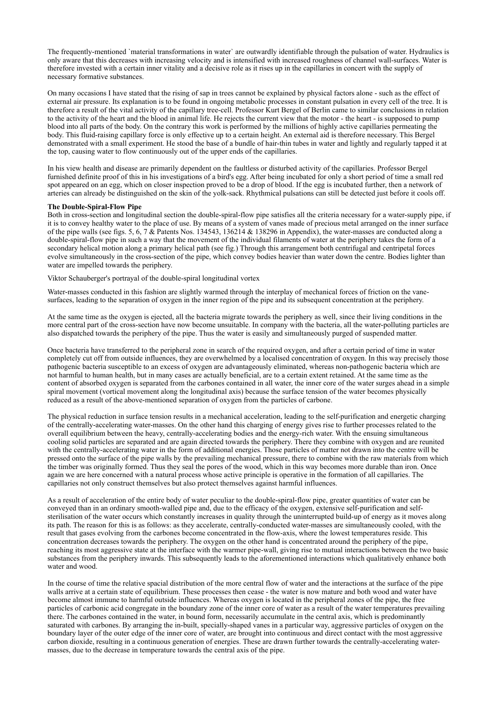The frequently-mentioned `material transformations in water` are outwardly identifiable through the pulsation of water. Hydraulics is only aware that this decreases with increasing velocity and is intensified with increased roughness of channel wall-surfaces. Water is therefore invested with a certain inner vitality and a decisive role as it rises up in the capillaries in concert with the supply of necessary formative substances.

On many occasions I have stated that the rising of sap in trees cannot be explained by physical factors alone - such as the effect of external air pressure. Its explanation is to be found in ongoing metabolic processes in constant pulsation in every cell of the tree. It is therefore a result of the vital activity of the capillary tree-cell. Professor Kurt Bergel of Berlin came to similar conclusions in relation to the activity of the heart and the blood in animal life. He rejects the current view that the motor - the heart - is supposed to pump blood into all parts of the body. On the contrary this work is performed by the millions of highly active capillaries permeating the body. This fluid-raising capillary force is only effective up to a certain height. An external aid is therefore necessary. This Bergel demonstrated with a small experiment. He stood the base of a bundle of hair-thin tubes in water and lightly and regularly tapped it at the top, causing water to flow continuously out of the upper ends of the capillaries.

In his view health and disease are primarily dependent on the faultless or disturbed activity of the capillaries. Professor Bergel furnished definite proof of this in his investigations of a bird's egg. After being incubated for only a short period of time a small red spot appeared on an egg, which on closer inspection proved to be a drop of blood. If the egg is incubated further, then a network of arteries can already be distinguished on the skin of the yolk-sack. Rhythmical pulsations can still be detected just before it cools off.

# **The Double-Spiral-Flow Pipe**

Both in cross-section and longitudinal section the double-spiral-flow pipe satisfies all the criteria necessary for a water-supply pipe, if it is to convey healthy water to the place of use. By means of a system of vanes made of precious metal arranged on the inner surface of the pipe walls (see figs. 5, 6, 7 & Patents Nos. 134543, 136214 & 138296 in Appendix), the water-masses are conducted along a double-spiral-flow pipe in such a way that the movement of the individual filaments of water at the periphery takes the form of a secondary helical motion along a primary helical path (see fig.) Through this arrangement both centrifugal and centripetal forces evolve simultaneously in the cross-section of the pipe, which convey bodies heavier than water down the centre. Bodies lighter than water are impelled towards the periphery.

Viktor Schauberger's portrayal of the double-spiral longitudinal vortex

Water-masses conducted in this fashion are slightly warmed through the interplay of mechanical forces of friction on the vanesurfaces, leading to the separation of oxygen in the inner region of the pipe and its subsequent concentration at the periphery.

At the same time as the oxygen is ejected, all the bacteria migrate towards the periphery as well, since their living conditions in the more central part of the cross-section have now become unsuitable. In company with the bacteria, all the water-polluting particles are also dispatched towards the periphery of the pipe. Thus the water is easily and simultaneously purged of suspended matter.

Once bacteria have transferred to the peripheral zone in search of the required oxygen, and after a certain period of time in water completely cut off from outside influences, they are overwhelmed by a localised concentration of oxygen. In this way precisely those pathogenic bacteria susceptible to an excess of oxygen are advantageously eliminated, whereas non-pathogenic bacteria which are not harmful to human health, but in many cases are actually beneficial, are to a certain extent retained. At the same time as the content of absorbed oxygen is separated from the carbones contained in all water, the inner core of the water surges ahead in a simple spiral movement (vortical movement along the longitudinal axis) because the surface tension of the water becomes physically reduced as a result of the above-mentioned separation of oxygen from the particles of carbone.

The physical reduction in surface tension results in a mechanical acceleration, leading to the self-purification and energetic charging of the centrally-accelerating water-masses. On the other hand this charging of energy gives rise to further processes related to the overall equilibrium between the heavy, centrally-accelerating bodies and the energy-rich water. With the ensuing simultaneous cooling solid particles are separated and are again directed towards the periphery. There they combine with oxygen and are reunited with the centrally-accelerating water in the form of additional energies. Those particles of matter not drawn into the centre will be pressed onto the surface of the pipe walls by the prevailing mechanical pressure, there to combine with the raw materials from which the timber was originally formed. Thus they seal the pores of the wood, which in this way becomes more durable than iron. Once again we are here concerned with a natural process whose active principle is operative in the formation of all capillaries. The capillaries not only construct themselves but also protect themselves against harmful influences.

As a result of acceleration of the entire body of water peculiar to the double-spiral-flow pipe, greater quantities of water can be conveyed than in an ordinary smooth-walled pipe and, due to the efficacy of the oxygen, extensive self-purification and selfsterilisation of the water occurs which constantly increases in quality through the uninterrupted build-up of energy as it moves along its path. The reason for this is as follows: as they accelerate, centrally-conducted water-masses are simultaneously cooled, with the result that gases evolving from the carbones become concentrated in the flow-axis, where the lowest temperatures reside. This concentration decreases towards the periphery. The oxygen on the other hand is concentrated around the periphery of the pipe, reaching its most aggressive state at the interface with the warmer pipe-wall, giving rise to mutual interactions between the two basic substances from the periphery inwards. This subsequently leads to the aforementioned interactions which qualitatively enhance both water and wood.

In the course of time the relative spacial distribution of the more central flow of water and the interactions at the surface of the pipe walls arrive at a certain state of equilibrium. These processes then cease - the water is now mature and both wood and water have become almost immune to harmful outside influences. Whereas oxygen is located in the peripheral zones of the pipe, the free particles of carbonic acid congregate in the boundary zone of the inner core of water as a result of the water temperatures prevailing there. The carbones contained in the water, in bound form, necessarily accumulate in the central axis, which is predominantly saturated with carbones. By arranging the in-built, specially-shaped vanes in a particular way, aggressive particles of oxygen on the boundary layer of the outer edge of the inner core of water, are brought into continuous and direct contact with the most aggressive carbon dioxide, resulting in a continuous generation of energies. These are drawn further towards the centrally-accelerating watermasses, due to the decrease in temperature towards the central axis of the pipe.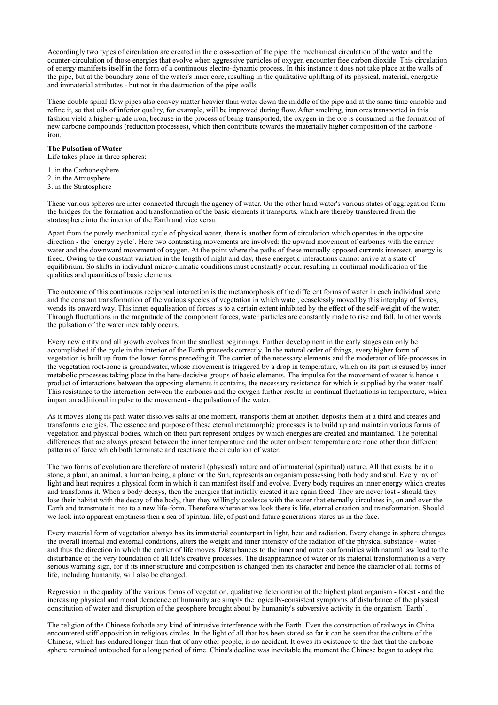Accordingly two types of circulation are created in the cross-section of the pipe: the mechanical circulation of the water and the counter-circulation of those energies that evolve when aggressive particles of oxygen encounter free carbon dioxide. This circulation of energy manifests itself in the form of a continuous electro-dynamic process. In this instance it does not take place at the walls of the pipe, but at the boundary zone of the water's inner core, resulting in the qualitative uplifting of its physical, material, energetic and immaterial attributes - but not in the destruction of the pipe walls.

These double-spiral-flow pipes also convey matter heavier than water down the middle of the pipe and at the same time ennoble and refine it, so that oils of inferior quality, for example, will be improved during flow. After smelting, iron ores transported in this fashion yield a higher-grade iron, because in the process of being transported, the oxygen in the ore is consumed in the formation of new carbone compounds (reduction processes), which then contribute towards the materially higher composition of the carbone iron.

# **The Pulsation of Water**

Life takes place in three spheres:

- 1. in the Carbonesphere
- 2. in the Atmosphere
- 3. in the Stratosphere

These various spheres are inter-connected through the agency of water. On the other hand water's various states of aggregation form the bridges for the formation and transformation of the basic elements it transports, which are thereby transferred from the stratosphere into the interior of the Earth and vice versa.

Apart from the purely mechanical cycle of physical water, there is another form of circulation which operates in the opposite direction - the 'energy cycle'. Here two contrasting movements are involved: the upward movement of carbones with the carrier water and the downward movement of oxygen. At the point where the paths of these mutually opposed currents intersect, energy is freed. Owing to the constant variation in the length of night and day, these energetic interactions cannot arrive at a state of equilibrium. So shifts in individual micro-climatic conditions must constantly occur, resulting in continual modification of the qualities and quantities of basic elements.

The outcome of this continuous reciprocal interaction is the metamorphosis of the different forms of water in each individual zone and the constant transformation of the various species of vegetation in which water, ceaselessly moved by this interplay of forces, wends its onward way. This inner equalisation of forces is to a certain extent inhibited by the effect of the self-weight of the water. Through fluctuations in the magnitude of the component forces, water particles are constantly made to rise and fall. In other words the pulsation of the water inevitably occurs.

Every new entity and all growth evolves from the smallest beginnings. Further development in the early stages can only be accomplished if the cycle in the interior of the Earth proceeds correctly. In the natural order of things, every higher form of vegetation is built up from the lower forms preceding it. The carrier of the necessary elements and the moderator of life-processes in the vegetation root-zone is groundwater, whose movement is triggered by a drop in temperature, which on its part is caused by inner metabolic processes taking place in the here-decisive groups of basic elements. The impulse for the movement of water is hence a product of interactions between the opposing elements it contains, the necessary resistance for which is supplied by the water itself. This resistance to the interaction between the carbones and the oxygen further results in continual fluctuations in temperature, which impart an additional impulse to the movement - the pulsation of the water.

As it moves along its path water dissolves salts at one moment, transports them at another, deposits them at a third and creates and transforms energies. The essence and purpose of these eternal metamorphic processes is to build up and maintain various forms of vegetation and physical bodies, which on their part represent bridges by which energies are created and maintained. The potential differences that are always present between the inner temperature and the outer ambient temperature are none other than different patterns of force which both terminate and reactivate the circulation of water.

The two forms of evolution are therefore of material (physical) nature and of immaterial (spiritual) nature. All that exists, be it a stone, a plant, an animal, a human being, a planet or the Sun, represents an organism possessing both body and soul. Every ray of light and heat requires a physical form in which it can manifest itself and evolve. Every body requires an inner energy which creates and transforms it. When a body decays, then the energies that initially created it are again freed. They are never lost - should they lose their habitat with the decay of the body, then they willingly coalesce with the water that eternally circulates in, on and over the Earth and transmute it into to a new life-form. Therefore wherever we look there is life, eternal creation and transformation. Should we look into apparent emptiness then a sea of spiritual life, of past and future generations stares us in the face.

Every material form of vegetation always has its immaterial counterpart in light, heat and radiation. Every change in sphere changes the overall internal and external conditions, alters the weight and inner intensity of the radiation of the physical substance - water and thus the direction in which the carrier of life moves. Disturbances to the inner and outer conformities with natural law lead to the disturbance of the very foundation of all life's creative processes. The disappearance of water or its material transformation is a very serious warning sign, for if its inner structure and composition is changed then its character and hence the character of all forms of life, including humanity, will also be changed.

Regression in the quality of the various forms of vegetation, qualitative deterioration of the highest plant organism - forest - and the increasing physical and moral decadence of humanity are simply the logically-consistent symptoms of disturbance of the physical constitution of water and disruption of the geosphere brought about by humanity's subversive activity in the organism `Earth`.

The religion of the Chinese forbade any kind of intrusive interference with the Earth. Even the construction of railways in China encountered stiff opposition in religious circles. In the light of all that has been stated so far it can be seen that the culture of the Chinese, which has endured longer than that of any other people, is no accident. It owes its existence to the fact that the carbonesphere remained untouched for a long period of time. China's decline was inevitable the moment the Chinese began to adopt the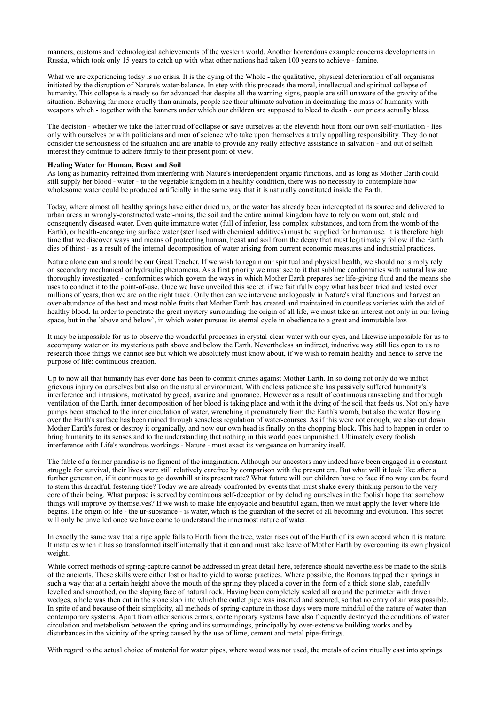manners, customs and technological achievements of the western world. Another horrendous example concerns developments in Russia, which took only 15 years to catch up with what other nations had taken 100 years to achieve - famine.

What we are experiencing today is no crisis. It is the dying of the Whole - the qualitative, physical deterioration of all organisms initiated by the disruption of Nature's water-balance. In step with this proceeds the moral, intellectual and spiritual collapse of humanity. This collapse is already so far advanced that despite all the warning signs, people are still unaware of the gravity of the situation. Behaving far more cruelly than animals, people see their ultimate salvation in decimating the mass of humanity with weapons which - together with the banners under which our children are supposed to bleed to death - our priests actually bless.

The decision - whether we take the latter road of collapse or save ourselves at the eleventh hour from our own self-mutilation - lies only with ourselves or with politicians and men of science who take upon themselves a truly appalling responsibility. They do not consider the seriousness of the situation and are unable to provide any really effective assistance in salvation - and out of selfish interest they continue to adhere firmly to their present point of view.

### **Healing Water for Human, Beast and Soil**

As long as humanity refrained from interfering with Nature's interdependent organic functions, and as long as Mother Earth could still supply her blood - water - to the vegetable kingdom in a healthy condition, there was no necessity to contemplate how wholesome water could be produced artificially in the same way that it is naturally constituted inside the Earth.

Today, where almost all healthy springs have either dried up, or the water has already been intercepted at its source and delivered to urban areas in wrongly-constructed water-mains, the soil and the entire animal kingdom have to rely on worn out, stale and consequently diseased water. Even quite immature water (full of inferior, less complex substances, and torn from the womb of the Earth), or health-endangering surface water (sterilised with chemical additives) must be supplied for human use. It is therefore high time that we discover ways and means of protecting human, beast and soil from the decay that must legitimately follow if the Earth dies of thirst - as a result of the internal decomposition of water arising from current economic measures and industrial practices.

Nature alone can and should be our Great Teacher. If we wish to regain our spiritual and physical health, we should not simply rely on secondary mechanical or hydraulic phenomena. As a first priority we must see to it that sublime conformities with natural law are thoroughly investigated - conformities which govern the ways in which Mother Earth prepares her life-giving fluid and the means she uses to conduct it to the point-of-use. Once we have unveiled this secret, if we faithfully copy what has been tried and tested over millions of years, then we are on the right track. Only then can we intervene analogously in Nature's vital functions and harvest an over-abundance of the best and most noble fruits that Mother Earth has created and maintained in countless varieties with the aid of healthy blood. In order to penetrate the great mystery surrounding the origin of all life, we must take an interest not only in our living space, but in the `above and below`, in which water pursues its eternal cycle in obedience to a great and immutable law.

It may be impossible for us to observe the wonderful processes in crystal-clear water with our eyes, and likewise impossible for us to accompany water on its mysterious path above and below the Earth. Nevertheless an indirect, inductive way still lies open to us to research those things we cannot see but which we absolutely must know about, if we wish to remain healthy and hence to serve the purpose of life: continuous creation.

Up to now all that humanity has ever done has been to commit crimes against Mother Earth. In so doing not only do we inflict grievous injury on ourselves but also on the natural environment. With endless patience she has passively suffered humanity's interference and intrusions, motivated by greed, avarice and ignorance. However as a result of continuous ransacking and thorough ventilation of the Earth, inner decomposition of her blood is taking place and with it the dying of the soil that feeds us. Not only have pumps been attached to the inner circulation of water, wrenching it prematurely from the Earth's womb, but also the water flowing over the Earth's surface has been ruined through senseless regulation of water-courses. As if this were not enough, we also cut down Mother Earth's forest or destroy it organically, and now our own head is finally on the chopping block. This had to happen in order to bring humanity to its senses and to the understanding that nothing in this world goes unpunished. Ultimately every foolish interference with Life's wondrous workings - Nature - must exact its vengeance on humanity itself.

The fable of a former paradise is no figment of the imagination. Although our ancestors may indeed have been engaged in a constant struggle for survival, their lives were still relatively carefree by comparison with the present era. But what will it look like after a further generation, if it continues to go downhill at its present rate? What future will our children have to face if no way can be found to stem this dreadful, festering tide? Today we are already confronted by events that must shake every thinking person to the very core of their being. What purpose is served by continuous self-deception or by deluding ourselves in the foolish hope that somehow things will improve by themselves? If we wish to make life enjoyable and beautiful again, then we must apply the lever where life begins. The origin of life - the ur-substance - is water, which is the guardian of the secret of all becoming and evolution. This secret will only be unveiled once we have come to understand the innermost nature of water.

In exactly the same way that a ripe apple falls to Earth from the tree, water rises out of the Earth of its own accord when it is mature. It matures when it has so transformed itself internally that it can and must take leave of Mother Earth by overcoming its own physical weight.

While correct methods of spring-capture cannot be addressed in great detail here, reference should nevertheless be made to the skills of the ancients. These skills were either lost or had to yield to worse practices. Where possible, the Romans tapped their springs in such a way that at a certain height above the mouth of the spring they placed a cover in the form of a thick stone slab, carefully levelled and smoothed, on the sloping face of natural rock. Having been completely sealed all around the perimeter with driven wedges, a hole was then cut in the stone slab into which the outlet pipe was inserted and secured, so that no entry of air was possible. In spite of and because of their simplicity, all methods of spring-capture in those days were more mindful of the nature of water than contemporary systems. Apart from other serious errors, contemporary systems have also frequently destroyed the conditions of water circulation and metabolism between the spring and its surroundings, principally by over-extensive building works and by disturbances in the vicinity of the spring caused by the use of lime, cement and metal pipe-fittings.

With regard to the actual choice of material for water pipes, where wood was not used, the metals of coins ritually cast into springs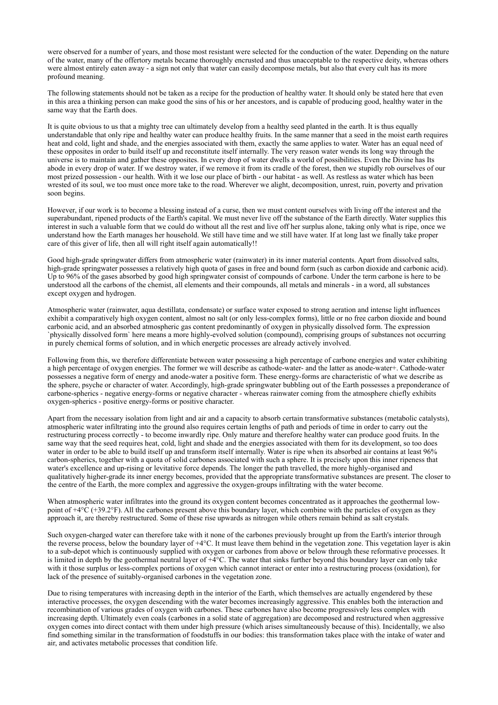were observed for a number of years, and those most resistant were selected for the conduction of the water. Depending on the nature of the water, many of the offertory metals became thoroughly encrusted and thus unacceptable to the respective deity, whereas others were almost entirely eaten away - a sign not only that water can easily decompose metals, but also that every cult has its more profound meaning.

The following statements should not be taken as a recipe for the production of healthy water. It should only be stated here that even in this area a thinking person can make good the sins of his or her ancestors, and is capable of producing good, healthy water in the same way that the Earth does.

It is quite obvious to us that a mighty tree can ultimately develop from a healthy seed planted in the earth. It is thus equally understandable that only ripe and healthy water can produce healthy fruits. In the same manner that a seed in the moist earth requires heat and cold, light and shade, and the energies associated with them, exactly the same applies to water. Water has an equal need of these opposites in order to build itself up and reconstitute itself internally. The very reason water wends its long way through the universe is to maintain and gather these opposites. In every drop of water dwells a world of possibilities. Even the Divine has Its abode in every drop of water. If we destroy water, if we remove it from its cradle of the forest, then we stupidly rob ourselves of our most prized possession - our health. With it we lose our place of birth - our habitat - as well. As restless as water which has been wrested of its soul, we too must once more take to the road. Wherever we alight, decomposition, unrest, ruin, poverty and privation soon begins.

However, if our work is to become a blessing instead of a curse, then we must content ourselves with living off the interest and the superabundant, ripened products of the Earth's capital. We must never live off the substance of the Earth directly. Water supplies this interest in such a valuable form that we could do without all the rest and live off her surplus alone, taking only what is ripe, once we understand how the Earth manages her household. We still have time and we still have water. If at long last we finally take proper care of this giver of life, then all will right itself again automatically!!

Good high-grade springwater differs from atmospheric water (rainwater) in its inner material contents. Apart from dissolved salts, high-grade springwater possesses a relatively high quota of gases in free and bound form (such as carbon dioxide and carbonic acid). Up to 96% of the gases absorbed by good high springwater consist of compounds of carbone. Under the term carbone is here to be understood all the carbons of the chemist, all elements and their compounds, all metals and minerals - in a word, all substances except oxygen and hydrogen.

Atmospheric water (rainwater, aqua destillata, condensate) or surface water exposed to strong aeration and intense light influences exhibit a comparatively high oxygen content, almost no salt (or only less-complex forms), little or no free carbon dioxide and bound carbonic acid, and an absorbed atmospheric gas content predominantly of oxygen in physically dissolved form. The expression `physically dissolved form` here means a more highly-evolved solution (compound), comprising groups of substances not occurring in purely chemical forms of solution, and in which energetic processes are already actively involved.

Following from this, we therefore differentiate between water possessing a high percentage of carbone energies and water exhibiting a high percentage of oxygen energies. The former we will describe as cathode-water- and the latter as anode-water+. Cathode-water possesses a negative form of energy and anode-water a positive form. These energy-forms are characteristic of what we describe as the sphere, psyche or character of water. Accordingly, high-grade springwater bubbling out of the Earth possesses a preponderance of carbone-spherics - negative energy-forms or negative character - whereas rainwater coming from the atmosphere chiefly exhibits oxygen-spherics - positive energy-forms or positive character.

Apart from the necessary isolation from light and air and a capacity to absorb certain transformative substances (metabolic catalysts), atmospheric water infiltrating into the ground also requires certain lengths of path and periods of time in order to carry out the restructuring process correctly - to become inwardly ripe. Only mature and therefore healthy water can produce good fruits. In the same way that the seed requires heat, cold, light and shade and the energies associated with them for its development, so too does water in order to be able to build itself up and transform itself internally. Water is ripe when its absorbed air contains at least 96% carbon-spherics, together with a quota of solid carbones associated with such a sphere. It is precisely upon this inner ripeness that water's excellence and up-rising or levitative force depends. The longer the path travelled, the more highly-organised and qualitatively higher-grade its inner energy becomes, provided that the appropriate transformative substances are present. The closer to the centre of the Earth, the more complex and aggressive the oxygen-groups infiltrating with the water become.

When atmospheric water infiltrates into the ground its oxygen content becomes concentrated as it approaches the geothermal lowpoint of +4°C (+39.2°F). All the carbones present above this boundary layer, which combine with the particles of oxygen as they approach it, are thereby restructured. Some of these rise upwards as nitrogen while others remain behind as salt crystals.

Such oxygen-charged water can therefore take with it none of the carbones previously brought up from the Earth's interior through the reverse process, below the boundary layer of +4°C. It must leave them behind in the vegetation zone. This vegetation layer is akin to a sub-depot which is continuously supplied with oxygen or carbones from above or below through these reformative processes. It is limited in depth by the geothermal neutral layer of +4°C. The water that sinks further beyond this boundary layer can only take with it those surplus or less-complex portions of oxygen which cannot interact or enter into a restructuring process (oxidation), for lack of the presence of suitably-organised carbones in the vegetation zone.

Due to rising temperatures with increasing depth in the interior of the Earth, which themselves are actually engendered by these interactive processes, the oxygen descending with the water becomes increasingly aggressive. This enables both the interaction and recombination of various grades of oxygen with carbones. These carbones have also become progressively less complex with increasing depth. Ultimately even coals (carbones in a solid state of aggregation) are decomposed and restructured when aggressive oxygen comes into direct contact with them under high pressure (which arises simultaneously because of this). Incidentally, we also find something similar in the transformation of foodstuffs in our bodies: this transformation takes place with the intake of water and air, and activates metabolic processes that condition life.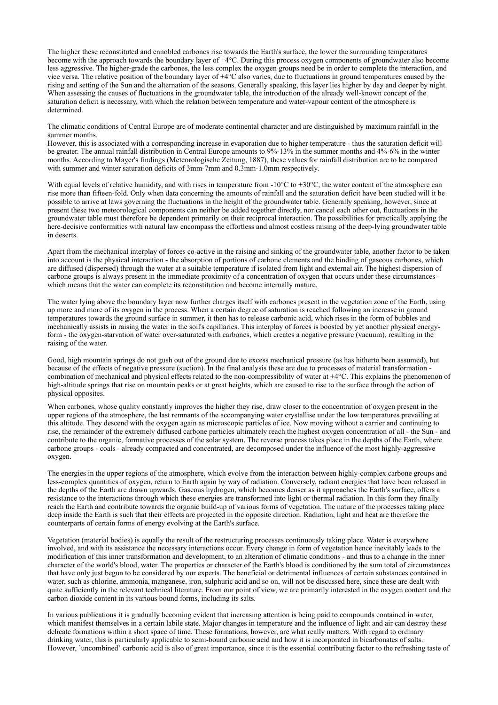The higher these reconstituted and ennobled carbones rise towards the Earth's surface, the lower the surrounding temperatures become with the approach towards the boundary layer of +4°C. During this process oxygen components of groundwater also become less aggressive. The higher-grade the carbones, the less complex the oxygen groups need be in order to complete the interaction, and vice versa. The relative position of the boundary layer of +4°C also varies, due to fluctuations in ground temperatures caused by the rising and setting of the Sun and the alternation of the seasons. Generally speaking, this layer lies higher by day and deeper by night. When assessing the causes of fluctuations in the groundwater table, the introduction of the already well-known concept of the saturation deficit is necessary, with which the relation between temperature and water-vapour content of the atmosphere is determined.

The climatic conditions of Central Europe are of moderate continental character and are distinguished by maximum rainfall in the summer months.

However, this is associated with a corresponding increase in evaporation due to higher temperature - thus the saturation deficit will be greater. The annual rainfall distribution in Central Europe amounts to 9%-13% in the summer months and 4%-6% in the winter months. According to Mayer's findings (Meteorologische Zeitung, 1887), these values for rainfall distribution are to be compared with summer and winter saturation deficits of 3mm-7mm and 0.3mm-1.0mm respectively.

With equal levels of relative humidity, and with rises in temperature from  $-10^{\circ}\text{C}$  to  $+30^{\circ}\text{C}$ , the water content of the atmosphere can rise more than fifteen-fold. Only when data concerning the amounts of rainfall and the saturation deficit have been studied will it be possible to arrive at laws governing the fluctuations in the height of the groundwater table. Generally speaking, however, since at present these two meteorological components can neither be added together directly, nor cancel each other out, fluctuations in the groundwater table must therefore be dependent primarily on their reciprocal interaction. The possibilities for practically applying the here-decisive conformities with natural law encompass the effortless and almost costless raising of the deep-lying groundwater table in deserts.

Apart from the mechanical interplay of forces co-active in the raising and sinking of the groundwater table, another factor to be taken into account is the physical interaction - the absorption of portions of carbone elements and the binding of gaseous carbones, which are diffused (dispersed) through the water at a suitable temperature if isolated from light and external air. The highest dispersion of carbone groups is always present in the immediate proximity of a concentration of oxygen that occurs under these circumstances which means that the water can complete its reconstitution and become internally mature.

The water lying above the boundary layer now further charges itself with carbones present in the vegetation zone of the Earth, using up more and more of its oxygen in the process. When a certain degree of saturation is reached following an increase in ground temperatures towards the ground surface in summer, it then has to release carbonic acid, which rises in the form of bubbles and mechanically assists in raising the water in the soil's capillaries. This interplay of forces is boosted by yet another physical energyform - the oxygen-starvation of water over-saturated with carbones, which creates a negative pressure (vacuum), resulting in the raising of the water.

Good, high mountain springs do not gush out of the ground due to excess mechanical pressure (as has hitherto been assumed), but because of the effects of negative pressure (suction). In the final analysis these are due to processes of material transformation combination of mechanical and physical effects related to the non-compressibility of water at +4°C. This explains the phenomenon of high-altitude springs that rise on mountain peaks or at great heights, which are caused to rise to the surface through the action of physical opposites.

When carbones, whose quality constantly improves the higher they rise, draw closer to the concentration of oxygen present in the upper regions of the atmosphere, the last remnants of the accompanying water crystallise under the low temperatures prevailing at this altitude. They descend with the oxygen again as microscopic particles of ice. Now moving without a carrier and continuing to rise, the remainder of the extremely diffused carbone particles ultimately reach the highest oxygen concentration of all - the Sun - and contribute to the organic, formative processes of the solar system. The reverse process takes place in the depths of the Earth, where carbone groups - coals - already compacted and concentrated, are decomposed under the influence of the most highly-aggressive oxygen.

The energies in the upper regions of the atmosphere, which evolve from the interaction between highly-complex carbone groups and less-complex quantities of oxygen, return to Earth again by way of radiation. Conversely, radiant energies that have been released in the depths of the Earth are drawn upwards. Gaseous hydrogen, which becomes denser as it approaches the Earth's surface, offers a resistance to the interactions through which these energies are transformed into light or thermal radiation. In this form they finally reach the Earth and contribute towards the organic build-up of various forms of vegetation. The nature of the processes taking place deep inside the Earth is such that their effects are projected in the opposite direction. Radiation, light and heat are therefore the counterparts of certain forms of energy evolving at the Earth's surface.

Vegetation (material bodies) is equally the result of the restructuring processes continuously taking place. Water is everywhere involved, and with its assistance the necessary interactions occur. Every change in form of vegetation hence inevitably leads to the modification of this inner transformation and development, to an alteration of climatic conditions - and thus to a change in the inner character of the world's blood, water. The properties or character of the Earth's blood is conditioned by the sum total of circumstances that have only just begun to be considered by our experts. The beneficial or detrimental influences of certain substances contained in water, such as chlorine, ammonia, manganese, iron, sulphuric acid and so on, will not be discussed here, since these are dealt with quite sufficiently in the relevant technical literature. From our point of view, we are primarily interested in the oxygen content and the carbon dioxide content in its various bound forms, including its salts.

In various publications it is gradually becoming evident that increasing attention is being paid to compounds contained in water, which manifest themselves in a certain labile state. Major changes in temperature and the influence of light and air can destroy these delicate formations within a short space of time. These formations, however, are what really matters. With regard to ordinary drinking water, this is particularly applicable to semi-bound carbonic acid and how it is incorporated in bicarbonates of salts. However, 'uncombined' carbonic acid is also of great importance, since it is the essential contributing factor to the refreshing taste of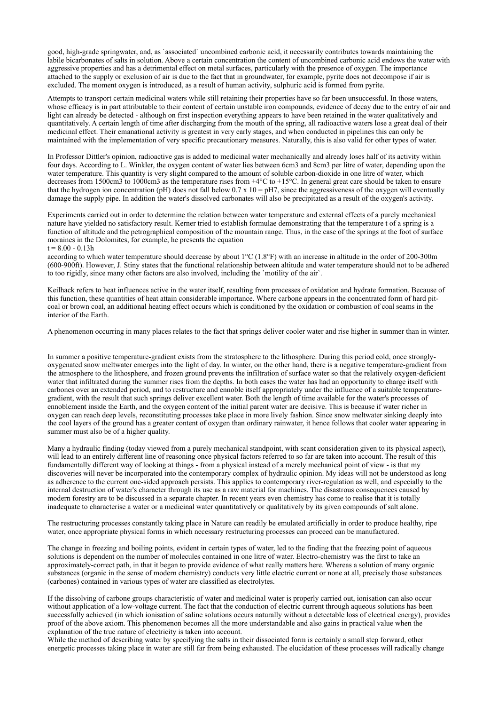good, high-grade springwater, and, as `associated` uncombined carbonic acid, it necessarily contributes towards maintaining the labile bicarbonates of salts in solution. Above a certain concentration the content of uncombined carbonic acid endows the water with aggressive properties and has a detrimental effect on metal surfaces, particularly with the presence of oxygen. The importance attached to the supply or exclusion of air is due to the fact that in groundwater, for example, pyrite does not decompose if air is excluded. The moment oxygen is introduced, as a result of human activity, sulphuric acid is formed from pyrite.

Attempts to transport certain medicinal waters while still retaining their properties have so far been unsuccessful. In those waters, whose efficacy is in part attributable to their content of certain unstable iron compounds, evidence of decay due to the entry of air and light can already be detected - although on first inspection everything appears to have been retained in the water qualitatively and quantitatively. A certain length of time after discharging from the mouth of the spring, all radioactive waters lose a great deal of their medicinal effect. Their emanational activity is greatest in very early stages, and when conducted in pipelines this can only be maintained with the implementation of very specific precautionary measures. Naturally, this is also valid for other types of water.

In Professor Dittler's opinion, radioactive gas is added to medicinal water mechanically and already loses half of its activity within four days. According to L. Winkler, the oxygen content of water lies between 6cm3 and 8cm3 per litre of water, depending upon the water temperature. This quantity is very slight compared to the amount of soluble carbon-dioxide in one litre of water, which decreases from 1500cm3 to 1000cm3 as the temperature rises from +4°C to +15°C. In general great care should be taken to ensure that the hydrogen ion concentration (pH) does not fall below  $0.7 \times 10 = pH7$ , since the aggressiveness of the oxygen will eventually damage the supply pipe. In addition the water's dissolved carbonates will also be precipitated as a result of the oxygen's activity.

Experiments carried out in order to determine the relation between water temperature and external effects of a purely mechanical nature have yielded no satisfactory result. Kerner tried to establish formulae demonstrating that the temperature t of a spring is a function of altitude and the petrographical composition of the mountain range. Thus, in the case of the springs at the foot of surface moraines in the Dolomites, for example, he presents the equation

 $t = 8.00 - 0.13h$ 

according to which water temperature should decrease by about 1°C (1.8°F) with an increase in altitude in the order of 200-300m (600-900ft). However, J. Stiny states that the functional relationship between altitude and water temperature should not to be adhered to too rigidly, since many other factors are also involved, including the `motility of the air`.

Keilhack refers to heat influences active in the water itself, resulting from processes of oxidation and hydrate formation. Because of this function, these quantities of heat attain considerable importance. Where carbone appears in the concentrated form of hard pitcoal or brown coal, an additional heating effect occurs which is conditioned by the oxidation or combustion of coal seams in the interior of the Earth.

A phenomenon occurring in many places relates to the fact that springs deliver cooler water and rise higher in summer than in winter.

In summer a positive temperature-gradient exists from the stratosphere to the lithosphere. During this period cold, once stronglyoxygenated snow meltwater emerges into the light of day. In winter, on the other hand, there is a negative temperature-gradient from the atmosphere to the lithosphere, and frozen ground prevents the infiltration of surface water so that the relatively oxygen-deficient water that infiltrated during the summer rises from the depths. In both cases the water has had an opportunity to charge itself with carbones over an extended period, and to restructure and ennoble itself appropriately under the influence of a suitable temperaturegradient, with the result that such springs deliver excellent water. Both the length of time available for the water's processes of ennoblement inside the Earth, and the oxygen content of the initial parent water are decisive. This is because if water richer in oxygen can reach deep levels, reconstituting processes take place in more lively fashion. Since snow meltwater sinking deeply into the cool layers of the ground has a greater content of oxygen than ordinary rainwater, it hence follows that cooler water appearing in summer must also be of a higher quality.

Many a hydraulic finding (today viewed from a purely mechanical standpoint, with scant consideration given to its physical aspect), will lead to an entirely different line of reasoning once physical factors referred to so far are taken into account. The result of this fundamentally different way of looking at things - from a physical instead of a merely mechanical point of view - is that my discoveries will never be incorporated into the contemporary complex of hydraulic opinion. My ideas will not be understood as long as adherence to the current one-sided approach persists. This applies to contemporary river-regulation as well, and especially to the internal destruction of water's character through its use as a raw material for machines. The disastrous consequences caused by modern forestry are to be discussed in a separate chapter. In recent years even chemistry has come to realise that it is totally inadequate to characterise a water or a medicinal water quantitatively or qualitatively by its given compounds of salt alone.

The restructuring processes constantly taking place in Nature can readily be emulated artificially in order to produce healthy, ripe water, once appropriate physical forms in which necessary restructuring processes can proceed can be manufactured.

The change in freezing and boiling points, evident in certain types of water, led to the finding that the freezing point of aqueous solutions is dependent on the number of molecules contained in one litre of water. Electro-chemistry was the first to take an approximately-correct path, in that it began to provide evidence of what really matters here. Whereas a solution of many organic substances (organic in the sense of modern chemistry) conducts very little electric current or none at all, precisely those substances (carbones) contained in various types of water are classified as electrolytes.

If the dissolving of carbone groups characteristic of water and medicinal water is properly carried out, ionisation can also occur without application of a low-voltage current. The fact that the conduction of electric current through aqueous solutions has been successfully achieved (in which ionisation of saline solutions occurs naturally without a detectable loss of electrical energy), provides proof of the above axiom. This phenomenon becomes all the more understandable and also gains in practical value when the explanation of the true nature of electricity is taken into account.

While the method of describing water by specifying the salts in their dissociated form is certainly a small step forward, other energetic processes taking place in water are still far from being exhausted. The elucidation of these processes will radically change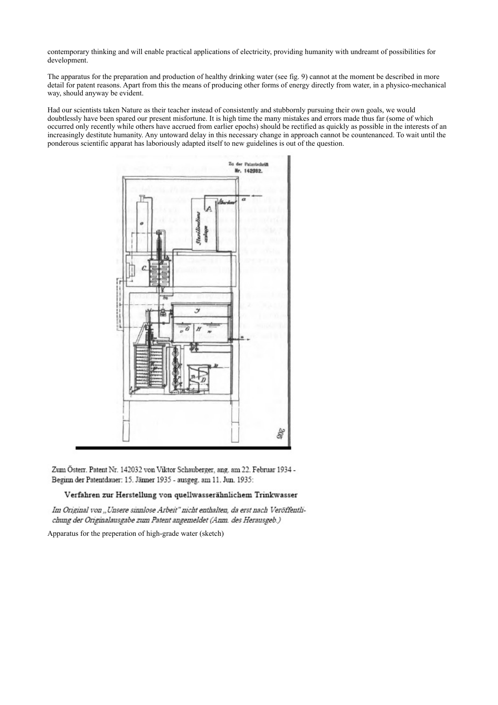contemporary thinking and will enable practical applications of electricity, providing humanity with undreamt of possibilities for development.

The apparatus for the preparation and production of healthy drinking water (see fig. 9) cannot at the moment be described in more detail for patent reasons. Apart from this the means of producing other forms of energy directly from water, in a physico-mechanical way, should anyway be evident.

Had our scientists taken Nature as their teacher instead of consistently and stubbornly pursuing their own goals, we would doubtlessly have been spared our present misfortune. It is high time the many mistakes and errors made thus far (some of which occurred only recently while others have accrued from earlier epochs) should be rectified as quickly as possible in the interests of an increasingly destitute humanity. Any untoward delay in this necessary change in approach cannot be countenanced. To wait until the ponderous scientific apparat has laboriously adapted itself to new guidelines is out of the question.



Zum Österr. Patent Nr. 142032 von Viktor Schauberger, ang. am 22. Februar 1934 -Beginn der Patentdauer: 15. Jänner 1935 - ausgeg. am 11. Jun. 1935:

Verfahren zur Herstellung von quellwasserähnlichem Trinkwasser

Im Original von "Unsere sinnlose Arbeit" nicht enthalten, da erst nach Veröffentlichung der Originalausgabe zum Patent angemeldet (Anm. des Herausgeb.)

Apparatus for the preperation of high-grade water (sketch)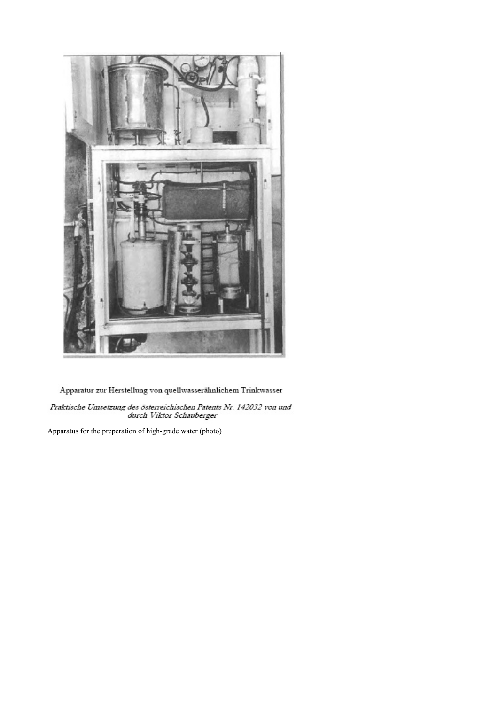

# Apparatur zur Herstellung von quellwasserähnlichem Trinkwasser

Praktische Umsetzung des österreichischen Patents Nr. 142032 von und durch Viktor Schauberger

Apparatus for the preperation of high-grade water (photo)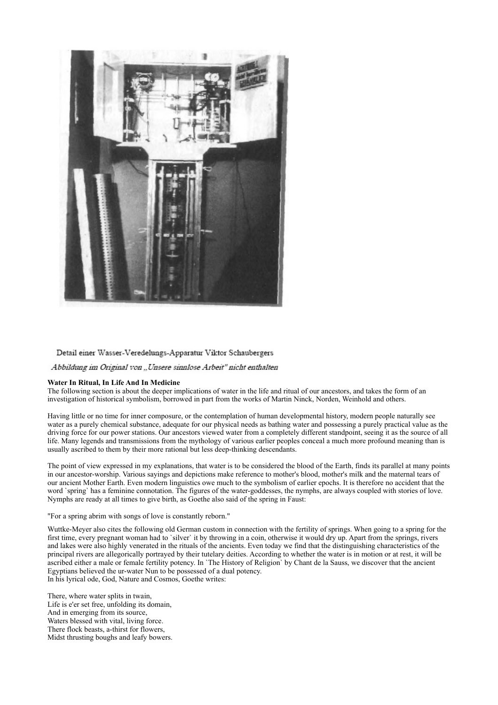

# Detail einer Wasser-Veredelungs-Apparatur Viktor Schaubergers

Abbildung im Original von "Unsere sinnlose Arbeit" nicht enthalten

### **Water In Ritual, In Life And In Medicine**

The following section is about the deeper implications of water in the life and ritual of our ancestors, and takes the form of an investigation of historical symbolism, borrowed in part from the works of Martin Ninck, Norden, Weinhold and others.

Having little or no time for inner composure, or the contemplation of human developmental history, modern people naturally see water as a purely chemical substance, adequate for our physical needs as bathing water and possessing a purely practical value as the driving force for our power stations. Our ancestors viewed water from a completely different standpoint, seeing it as the source of all life. Many legends and transmissions from the mythology of various earlier peoples conceal a much more profound meaning than is usually ascribed to them by their more rational but less deep-thinking descendants.

The point of view expressed in my explanations, that water is to be considered the blood of the Earth, finds its parallel at many points in our ancestor-worship. Various sayings and depictions make reference to mother's blood, mother's milk and the maternal tears of our ancient Mother Earth. Even modern linguistics owe much to the symbolism of earlier epochs. It is therefore no accident that the word `spring` has a feminine connotation. The figures of the water-goddesses, the nymphs, are always coupled with stories of love. Nymphs are ready at all times to give birth, as Goethe also said of the spring in Faust:

"For a spring abrim with songs of love is constantly reborn."

Wuttke-Meyer also cites the following old German custom in connection with the fertility of springs. When going to a spring for the first time, every pregnant woman had to 'silver' it by throwing in a coin, otherwise it would dry up. Apart from the springs, rivers and lakes were also highly venerated in the rituals of the ancients. Even today we find that the distinguishing characteristics of the principal rivers are allegorically portrayed by their tutelary deities. According to whether the water is in motion or at rest, it will be ascribed either a male or female fertility potency. In `The History of Religion` by Chant de la Sauss, we discover that the ancient Egyptians believed the ur-water Nun to be possessed of a dual potency. In his lyrical ode, God, Nature and Cosmos, Goethe writes:

There, where water splits in twain, Life is e'er set free, unfolding its domain, And in emerging from its source, Waters blessed with vital, living force. There flock beasts, a-thirst for flowers, Midst thrusting boughs and leafy bowers.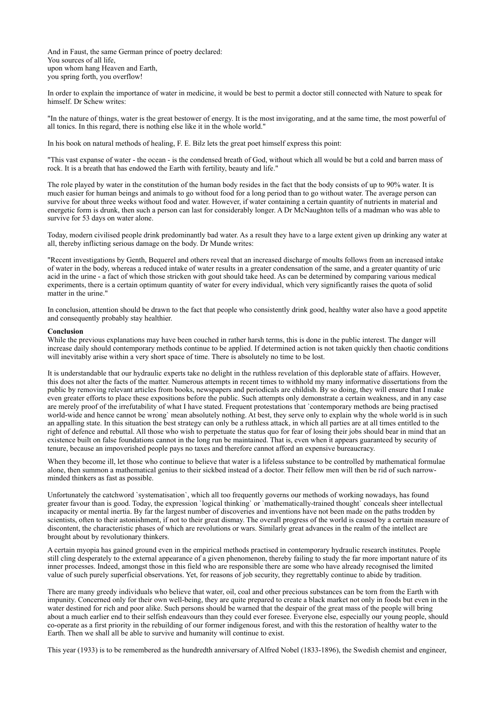And in Faust, the same German prince of poetry declared: You sources of all life, upon whom hang Heaven and Earth, you spring forth, you overflow!

In order to explain the importance of water in medicine, it would be best to permit a doctor still connected with Nature to speak for himself. Dr Schew writes:

"In the nature of things, water is the great bestower of energy. It is the most invigorating, and at the same time, the most powerful of all tonics. In this regard, there is nothing else like it in the whole world."

In his book on natural methods of healing, F. E. Bilz lets the great poet himself express this point:

"This vast expanse of water - the ocean - is the condensed breath of God, without which all would be but a cold and barren mass of rock. It is a breath that has endowed the Earth with fertility, beauty and life."

The role played by water in the constitution of the human body resides in the fact that the body consists of up to 90% water. It is much easier for human beings and animals to go without food for a long period than to go without water. The average person can survive for about three weeks without food and water. However, if water containing a certain quantity of nutrients in material and energetic form is drunk, then such a person can last for considerably longer. A Dr McNaughton tells of a madman who was able to survive for 53 days on water alone.

Today, modern civilised people drink predominantly bad water. As a result they have to a large extent given up drinking any water at all, thereby inflicting serious damage on the body. Dr Munde writes:

"Recent investigations by Genth, Bequerel and others reveal that an increased discharge of moults follows from an increased intake of water in the body, whereas a reduced intake of water results in a greater condensation of the same, and a greater quantity of uric acid in the urine - a fact of which those stricken with gout should take heed. As can be determined by comparing various medical experiments, there is a certain optimum quantity of water for every individual, which very significantly raises the quota of solid matter in the urine."

In conclusion, attention should be drawn to the fact that people who consistently drink good, healthy water also have a good appetite and consequently probably stay healthier.

### **Conclusion**

While the previous explanations may have been couched in rather harsh terms, this is done in the public interest. The danger will increase daily should contemporary methods continue to be applied. If determined action is not taken quickly then chaotic conditions will inevitably arise within a very short space of time. There is absolutely no time to be lost.

It is understandable that our hydraulic experts take no delight in the ruthless revelation of this deplorable state of affairs. However, this does not alter the facts of the matter. Numerous attempts in recent times to withhold my many informative dissertations from the public by removing relevant articles from books, newspapers and periodicals are childish. By so doing, they will ensure that I make even greater efforts to place these expositions before the public. Such attempts only demonstrate a certain weakness, and in any case are merely proof of the irrefutability of what I have stated. Frequent protestations that `contemporary methods are being practised world-wide and hence cannot be wrong` mean absolutely nothing. At best, they serve only to explain why the whole world is in such an appalling state. In this situation the best strategy can only be a ruthless attack, in which all parties are at all times entitled to the right of defence and rebuttal. All those who wish to perpetuate the status quo for fear of losing their jobs should bear in mind that an existence built on false foundations cannot in the long run be maintained. That is, even when it appears guaranteed by security of tenure, because an impoverished people pays no taxes and therefore cannot afford an expensive bureaucracy.

When they become ill, let those who continue to believe that water is a lifeless substance to be controlled by mathematical formulae alone, then summon a mathematical genius to their sickbed instead of a doctor. Their fellow men will then be rid of such narrowminded thinkers as fast as possible.

Unfortunately the catchword `systematisation`, which all too frequently governs our methods of working nowadays, has found greater favour than is good. Today, the expression `logical thinking` or `mathematically-trained thought` conceals sheer intellectual incapacity or mental inertia. By far the largest number of discoveries and inventions have not been made on the paths trodden by scientists, often to their astonishment, if not to their great dismay. The overall progress of the world is caused by a certain measure of discontent, the characteristic phases of which are revolutions or wars. Similarly great advances in the realm of the intellect are brought about by revolutionary thinkers.

A certain myopia has gained ground even in the empirical methods practised in contemporary hydraulic research institutes. People still cling desperately to the external appearance of a given phenomenon, thereby failing to study the far more important nature of its inner processes. Indeed, amongst those in this field who are responsible there are some who have already recognised the limited value of such purely superficial observations. Yet, for reasons of job security, they regrettably continue to abide by tradition.

There are many greedy individuals who believe that water, oil, coal and other precious substances can be torn from the Earth with impunity. Concerned only for their own well-being, they are quite prepared to create a black market not only in foods but even in the water destined for rich and poor alike. Such persons should be warned that the despair of the great mass of the people will bring about a much earlier end to their selfish endeavours than they could ever foresee. Everyone else, especially our young people, should co-operate as a first priority in the rebuilding of our former indigenous forest, and with this the restoration of healthy water to the Earth. Then we shall all be able to survive and humanity will continue to exist.

This year (1933) is to be remembered as the hundredth anniversary of Alfred Nobel (1833-1896), the Swedish chemist and engineer,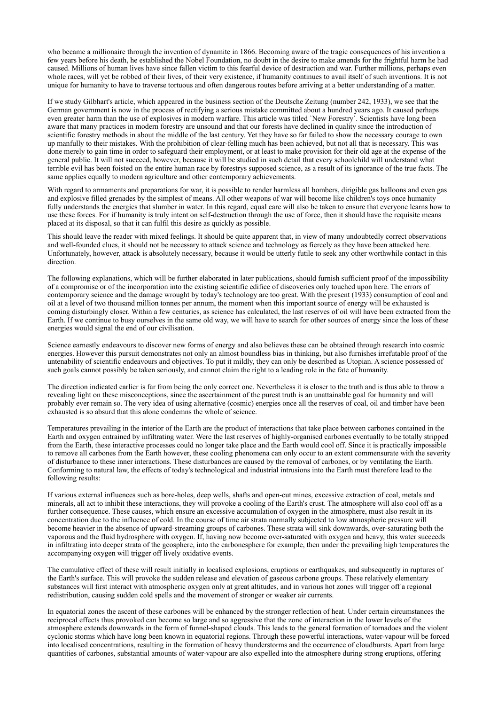who became a millionaire through the invention of dynamite in 1866. Becoming aware of the tragic consequences of his invention a few years before his death, he established the Nobel Foundation, no doubt in the desire to make amends for the frightful harm he had caused. Millions of human lives have since fallen victim to this fearful device of destruction and war. Further millions, perhaps even whole races, will yet be robbed of their lives, of their very existence, if humanity continues to avail itself of such inventions. It is not unique for humanity to have to traverse tortuous and often dangerous routes before arriving at a better understanding of a matter.

If we study Gilbhart's article, which appeared in the business section of the Deutsche Zeitung (number 242, 1933), we see that the German government is now in the process of rectifying a serious mistake committed about a hundred years ago. It caused perhaps even greater harm than the use of explosives in modern warfare. This article was titled `New Forestry`. Scientists have long been aware that many practices in modern forestry are unsound and that our forests have declined in quality since the introduction of scientific forestry methods in about the middle of the last century. Yet they have so far failed to show the necessary courage to own up manfully to their mistakes. With the prohibition of clear-felling much has been achieved, but not all that is necessary. This was done merely to gain time in order to safeguard their employment, or at least to make provision for their old age at the expense of the general public. It will not succeed, however, because it will be studied in such detail that every schoolchild will understand what terrible evil has been foisted on the entire human race by forestrys supposed science, as a result of its ignorance of the true facts. The same applies equally to modern agriculture and other contemporary achievements.

With regard to armaments and preparations for war, it is possible to render harmless all bombers, dirigible gas balloons and even gas and explosive filled grenades by the simplest of means. All other weapons of war will become like children's toys once humanity fully understands the energies that slumber in water. In this regard, equal care will also be taken to ensure that everyone learns how to use these forces. For if humanity is truly intent on self-destruction through the use of force, then it should have the requisite means placed at its disposal, so that it can fulfil this desire as quickly as possible.

This should leave the reader with mixed feelings. It should be quite apparent that, in view of many undoubtedly correct observations and well-founded clues, it should not be necessary to attack science and technology as fiercely as they have been attacked here. Unfortunately, however, attack is absolutely necessary, because it would be utterly futile to seek any other worthwhile contact in this direction.

The following explanations, which will be further elaborated in later publications, should furnish sufficient proof of the impossibility of a compromise or of the incorporation into the existing scientific edifice of discoveries only touched upon here. The errors of contemporary science and the damage wrought by today's technology are too great. With the present (1933) consumption of coal and oil at a level of two thousand million tonnes per annum, the moment when this important source of energy will be exhausted is coming disturbingly closer. Within a few centuries, as science has calculated, the last reserves of oil will have been extracted from the Earth. If we continue to busy ourselves in the same old way, we will have to search for other sources of energy since the loss of these energies would signal the end of our civilisation.

Science earnestly endeavours to discover new forms of energy and also believes these can be obtained through research into cosmic energies. However this pursuit demonstrates not only an almost boundless bias in thinking, but also furnishes irrefutable proof of the untenability of scientific endeavours and objectives. To put it mildly, they can only be described as Utopian. A science possessed of such goals cannot possibly be taken seriously, and cannot claim the right to a leading role in the fate of humanity.

The direction indicated earlier is far from being the only correct one. Nevertheless it is closer to the truth and is thus able to throw a revealing light on these misconceptions, since the ascertainment of the purest truth is an unattainable goal for humanity and will probably ever remain so. The very idea of using alternative (cosmic) energies once all the reserves of coal, oil and timber have been exhausted is so absurd that this alone condemns the whole of science.

Temperatures prevailing in the interior of the Earth are the product of interactions that take place between carbones contained in the Earth and oxygen entrained by infiltrating water. Were the last reserves of highly-organised carbones eventually to be totally stripped from the Earth, these interactive processes could no longer take place and the Earth would cool off. Since it is practically impossible to remove all carbones from the Earth however, these cooling phenomena can only occur to an extent commensurate with the severity of disturbance to these inner interactions. These disturbances are caused by the removal of carbones, or by ventilating the Earth. Conforming to natural law, the effects of today's technological and industrial intrusions into the Earth must therefore lead to the following results:

If various external influences such as bore-holes, deep wells, shafts and open-cut mines, excessive extraction of coal, metals and minerals, all act to inhibit these interactions, they will provoke a cooling of the Earth's crust. The atmosphere will also cool off as a further consequence. These causes, which ensure an excessive accumulation of oxygen in the atmosphere, must also result in its concentration due to the influence of cold. In the course of time air strata normally subjected to low atmospheric pressure will become heavier in the absence of upward-streaming groups of carbones. These strata will sink downwards, over-saturating both the vaporous and the fluid hydrosphere with oxygen. If, having now become over-saturated with oxygen and heavy, this water succeeds in infiltrating into deeper strata of the geosphere, into the carbonesphere for example, then under the prevailing high temperatures the accompanying oxygen will trigger off lively oxidative events.

The cumulative effect of these will result initially in localised explosions, eruptions or earthquakes, and subsequently in ruptures of the Earth's surface. This will provoke the sudden release and elevation of gaseous carbone groups. These relatively elementary substances will first interact with atmospheric oxygen only at great altitudes, and in various hot zones will trigger off a regional redistribution, causing sudden cold spells and the movement of stronger or weaker air currents.

In equatorial zones the ascent of these carbones will be enhanced by the stronger reflection of heat. Under certain circumstances the reciprocal effects thus provoked can become so large and so aggressive that the zone of interaction in the lower levels of the atmosphere extends downwards in the form of funnel-shaped clouds. This leads to the general formation of tornadoes and the violent cyclonic storms which have long been known in equatorial regions. Through these powerful interactions, water-vapour will be forced into localised concentrations, resulting in the formation of heavy thunderstorms and the occurrence of cloudbursts. Apart from large quantities of carbones, substantial amounts of water-vapour are also expelled into the atmosphere during strong eruptions, offering